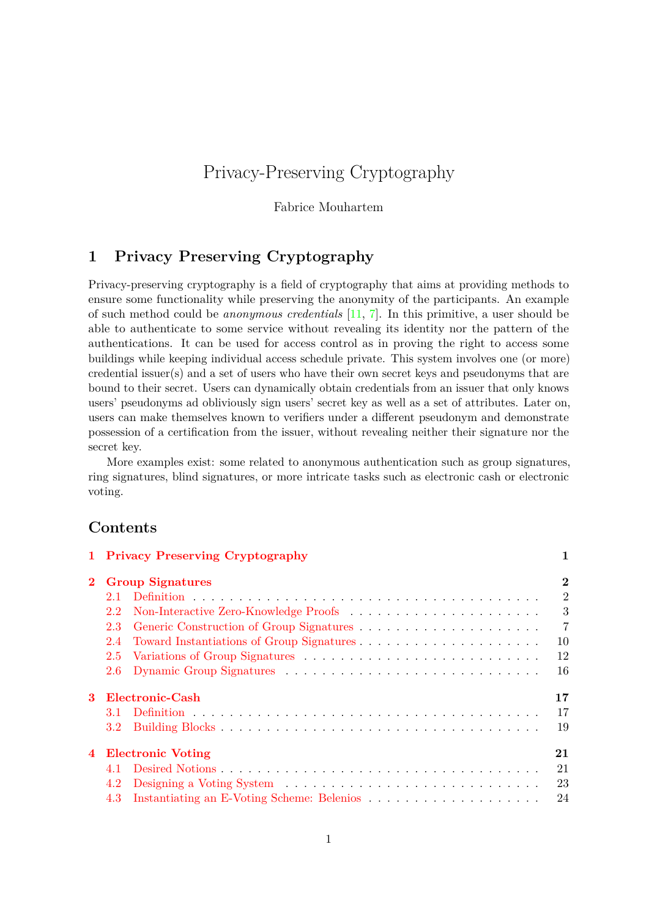# Privacy-Preserving Cryptography

Fabrice Mouhartem

## <span id="page-0-0"></span>**1 Privacy Preserving Cryptography**

Privacy-preserving cryptography is a field of cryptography that aims at providing methods to ensure some functionality while preserving the anonymity of the participants. An example of such method could be *anonymous credentials* [\[11,](#page-26-0) [7\]](#page-25-0). In this primitive, a user should be able to authenticate to some service without revealing its identity nor the pattern of the authentications. It can be used for access control as in proving the right to access some buildings while keeping individual access schedule private. This system involves one (or more) credential issuer(s) and a set of users who have their own secret keys and pseudonyms that are bound to their secret. Users can dynamically obtain credentials from an issuer that only knows users' pseudonyms ad obliviously sign users' secret key as well as a set of attributes. Later on, users can make themselves known to verifiers under a different pseudonym and demonstrate possession of a certification from the issuer, without revealing neither their signature nor the secret key.

More examples exist: some related to anonymous authentication such as group signatures, ring signatures, blind signatures, or more intricate tasks such as electronic cash or electronic voting.

## **Contents**

|   | 1 Privacy Preserving Cryptography | 1              |
|---|-----------------------------------|----------------|
|   | 2 Group Signatures                | $\overline{2}$ |
|   | 2.1                               | $\overline{2}$ |
|   | $2.2^{\circ}$                     | 3              |
|   | 2.3                               | $\overline{7}$ |
|   | 2.4                               | 10             |
|   | 2.5                               | 12             |
|   | 2.6                               | 16             |
| 3 | Electronic-Cash                   | 17             |
|   |                                   | 17             |
|   |                                   | 19             |
|   | 4 Electronic Voting               | 21             |
|   | 4.1                               | 21             |
|   | 4.2                               | 23             |
|   |                                   | 24             |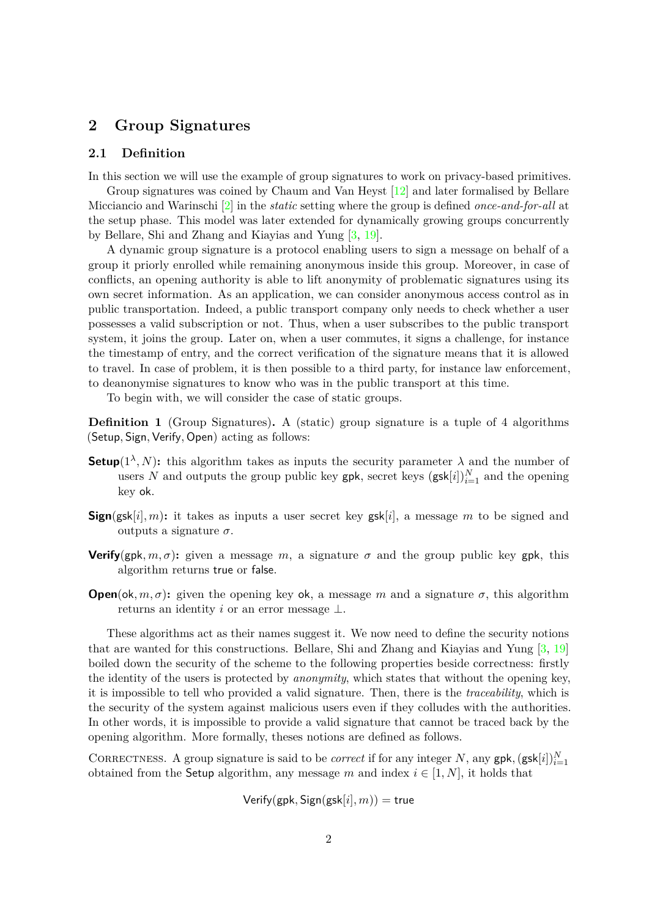## <span id="page-1-0"></span>**2 Group Signatures**

## <span id="page-1-1"></span>2.1 Definition

In this section we will use the example of group signatures to work on privacy-based primitives.

Group signatures was coined by Chaum and Van Heyst [\[12\]](#page-26-1) and later formalised by Bellare Micciancio and Warinschi [\[2\]](#page-25-1) in the *static* setting where the group is defined *once-and-for-all* at the setup phase. This model was later extended for dynamically growing groups concurrently by Bellare, Shi and Zhang and Kiayias and Yung [\[3,](#page-25-2) [19\]](#page-26-2).

A dynamic group signature is a protocol enabling users to sign a message on behalf of a group it priorly enrolled while remaining anonymous inside this group. Moreover, in case of conflicts, an opening authority is able to lift anonymity of problematic signatures using its own secret information. As an application, we can consider anonymous access control as in public transportation. Indeed, a public transport company only needs to check whether a user possesses a valid subscription or not. Thus, when a user subscribes to the public transport system, it joins the group. Later on, when a user commutes, it signs a challenge, for instance the timestamp of entry, and the correct verification of the signature means that it is allowed to travel. In case of problem, it is then possible to a third party, for instance law enforcement, to deanonymise signatures to know who was in the public transport at this time.

To begin with, we will consider the case of static groups.

**Definition 1** (Group Signatures). A (static) group signature is a tuple of 4 algorithms (Setup*,* Sign*,*Verify*,* Open) acting as follows:

- **Setup**( $1^{\lambda}$ , N): this algorithm takes as inputs the security parameter  $\lambda$  and the number of users *N* and outputs the group public key gpk, secret keys  $(gsk[i])_{i=1}^N$  and the opening key ok.
- **Sign**(gsk[i], m): it takes as inputs a user secret key gsk[i], a message m to be signed and outputs a signature  $\sigma$ .
- **Verify**(gpk,  $m, \sigma$ ): given a message  $m$ , a signature  $\sigma$  and the group public key gpk, this algorithm returns true or false.
- **Open**(ok, m,  $\sigma$ ): given the opening key ok, a message m and a signature  $\sigma$ , this algorithm returns an identity *i* or an error message ⊥.

These algorithms act as their names suggest it. We now need to define the security notions that are wanted for this constructions. Bellare, Shi and Zhang and Kiayias and Yung [\[3,](#page-25-2) [19\]](#page-26-2) boiled down the security of the scheme to the following properties beside correctness: firstly the identity of the users is protected by *anonymity*, which states that without the opening key, it is impossible to tell who provided a valid signature. Then, there is the *traceability*, which is the security of the system against malicious users even if they colludes with the authorities. In other words, it is impossible to provide a valid signature that cannot be traced back by the opening algorithm. More formally, theses notions are defined as follows.

CORRECTNESS. A group signature is said to be *correct* if for any integer *N*, any gpk,  $(gsk[i])_{i=1}^N$ obtained from the Setup algorithm, any message *m* and index  $i \in [1, N]$ , it holds that

 $Verify(gpk, Sign(gsk[i], m)) = true$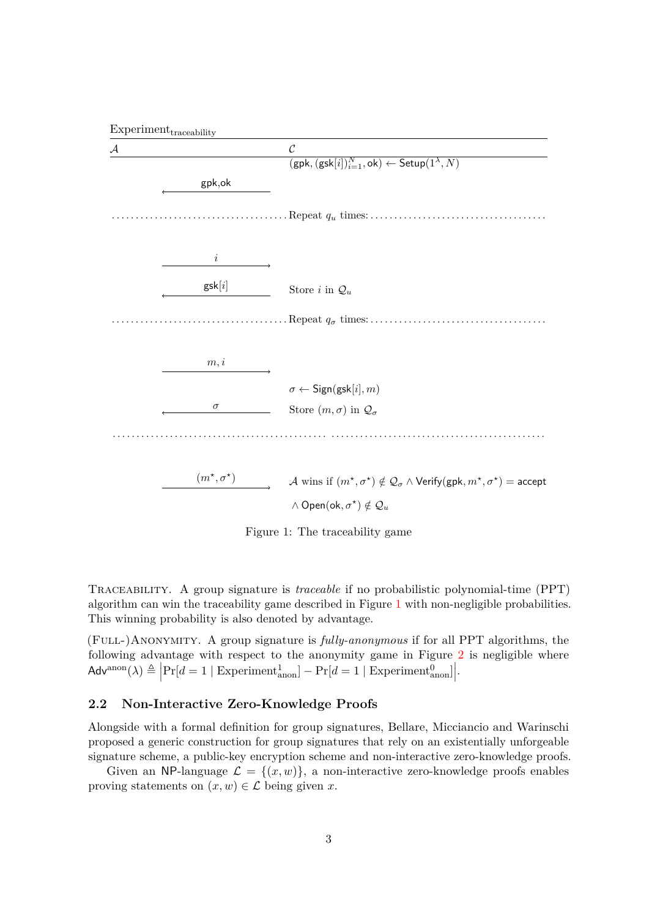



<span id="page-2-1"></span>Figure 1: The traceability game

Traceability. A group signature is *traceable* if no probabilistic polynomial-time (PPT) algorithm can win the traceability game described in Figure [1](#page-2-1) with non-negligible probabilities. This winning probability is also denoted by advantage.

(Full-)Anonymity. A group signature is *fully-anonymous* if for all PPT algorithms, the following advantage with respect to the anonymity game in Figure [2](#page-3-0) is negligible where  $\mathsf{Adv}^{\text{anon}}(\lambda) \triangleq \left| \Pr[d=1 \mid \text{Experiment}_{\text{anon}}^1] - \Pr[d=1 \mid \text{Experiment}_{\text{anon}}^0] \right|$ .

### <span id="page-2-0"></span>**2.2 Non-Interactive Zero-Knowledge Proofs**

Alongside with a formal definition for group signatures, Bellare, Micciancio and Warinschi proposed a generic construction for group signatures that rely on an existentially unforgeable signature scheme, a public-key encryption scheme and non-interactive zero-knowledge proofs.

Given an NP-language  $\mathcal{L} = \{(x, w)\}\$ , a non-interactive zero-knowledge proofs enables proving statements on  $(x, w) \in \mathcal{L}$  being given *x*.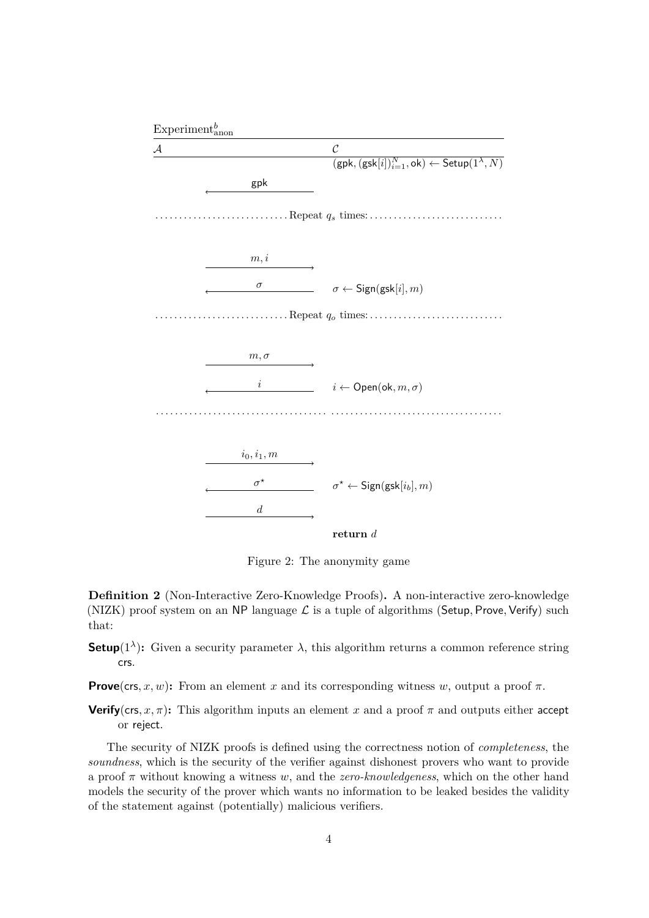

<span id="page-3-0"></span>Figure 2: The anonymity game

**Definition 2** (Non-Interactive Zero-Knowledge Proofs). A non-interactive zero-knowledge (NIZK) proof system on an NP language  $\mathcal L$  is a tuple of algorithms (Setup, Prove, Verify) such that:

**Setup**(1<sup> $\lambda$ </sup>): Given a security parameter  $\lambda$ , this algorithm returns a common reference string crs.

**Prove**(crs, x, w): From an element x and its corresponding witness w, output a proof  $\pi$ .

**Verify**(crs, x,  $\pi$ ): This algorithm inputs an element x and a proof  $\pi$  and outputs either accept or reject.

The security of NIZK proofs is defined using the correctness notion of *completeness*, the soundness, which is the security of the verifier against dishonest provers who want to provide a proof *π* without knowing a witness *w*, and the *zero-knowledgeness*, which on the other hand models the security of the prover which wants no information to be leaked besides the validity of the statement against (potentially) malicious verifiers.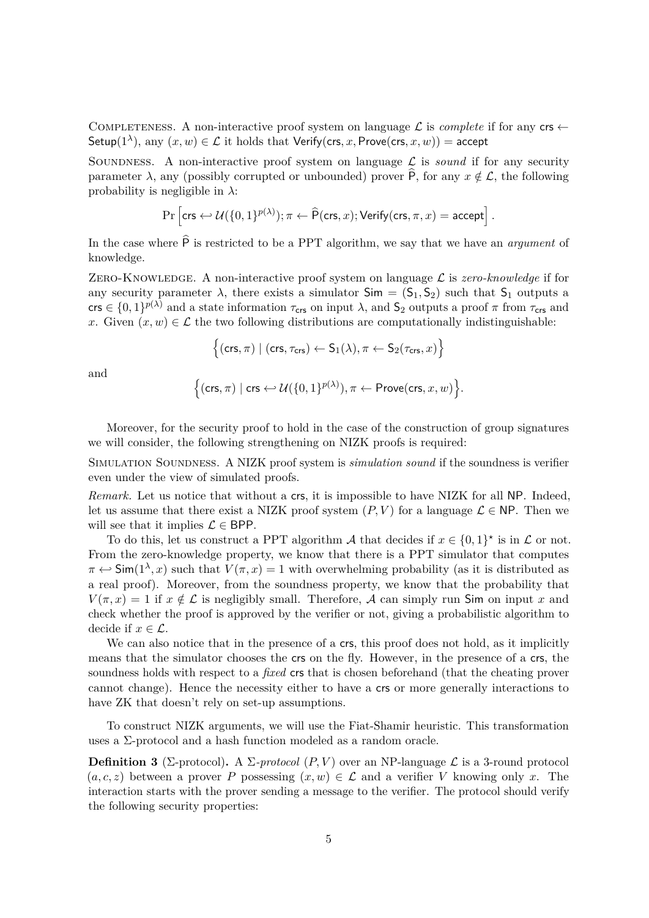COMPLETENESS. A non-interactive proof system on language  $\mathcal L$  is *complete* if for any crs  $\leftarrow$ Setup( $1^{\lambda}$ ), any  $(x, w) \in \mathcal{L}$  it holds that Verify(crs, x, Prove(crs, x, w)) = accept

SOUNDNESS. A non-interactive proof system on language  $\mathcal L$  is *sound* if for any security parameter  $\lambda$ , any (possibly corrupted or unbounded) prover  $\hat{P}$ , for any  $x \notin \mathcal{L}$ , the following probability is negligible in *λ*:

$$
\Pr\left[\mathsf{crs} \hookleftarrow \mathcal{U}(\{0,1\}^{p(\lambda)}); \pi \leftarrow \widehat{\mathsf{P}}(\mathsf{crs},x); \mathsf{Verify}(\mathsf{crs},\pi,x) = \mathsf{accept}\right].
$$

In the case where  $\hat{P}$  is restricted to be a PPT algorithm, we say that we have an *argument* of knowledge.

ZERO-KNOWLEDGE. A non-interactive proof system on language  $\mathcal L$  is *zero-knowledge* if for any security parameter  $\lambda$ , there exists a simulator  $Sim = (S_1, S_2)$  such that  $S_1$  outputs a crs  $\in \{0,1\}^{p(\lambda)}$  and a state information  $\tau_{\text{crs}}$  on input  $\lambda$ , and  $S_2$  outputs a proof  $\pi$  from  $\tau_{\text{crs}}$  and *x*. Given  $(x, w) \in \mathcal{L}$  the two following distributions are computationally indistinguishable:

$$
\Big\{(\mathsf{crs},\pi)\mid (\mathsf{crs},\tau_\mathsf{crs})\leftarrow \mathsf{S}_1(\lambda), \pi\leftarrow \mathsf{S}_2(\tau_\mathsf{crs},x)\Big\}
$$

and

$$
\Big\{(\mathsf{crs},\pi)\mid \mathsf{crs} \hookleftarrow \mathcal{U}(\{0,1\}^{p(\lambda)}), \pi \leftarrow \mathsf{Prove}(\mathsf{crs},x,w) \Big\}.
$$

Moreover, for the security proof to hold in the case of the construction of group signatures we will consider, the following strengthening on NIZK proofs is required:

SIMULATION SOUNDNESS. A NIZK proof system is *simulation sound* if the soundness is verifier even under the view of simulated proofs.

*Remark.* Let us notice that without a crs, it is impossible to have NIZK for all NP. Indeed, let us assume that there exist a NIZK proof system  $(P, V)$  for a language  $\mathcal{L} \in \mathsf{NP}$ . Then we will see that it implies  $\mathcal{L} \in \text{BPP}$ .

To do this, let us construct a PPT algorithm  $\mathcal A$  that decides if  $x \in \{0,1\}^*$  is in  $\mathcal L$  or not. From the zero-knowledge property, we know that there is a PPT simulator that computes  $\pi \leftrightarrow \text{Sim}(1^{\lambda}, x)$  such that  $V(\pi, x) = 1$  with overwhelming probability (as it is distributed as a real proof). Moreover, from the soundness property, we know that the probability that  $V(\pi, x) = 1$  if  $x \notin \mathcal{L}$  is negligibly small. Therefore, A can simply run Sim on input x and check whether the proof is approved by the verifier or not, giving a probabilistic algorithm to decide if  $x \in \mathcal{L}$ .

We can also notice that in the presence of a crs, this proof does not hold, as it implicitly means that the simulator chooses the crs on the fly. However, in the presence of a crs, the soundness holds with respect to a *fixed* crs that is chosen beforehand (that the cheating prover cannot change). Hence the necessity either to have a crs or more generally interactions to have ZK that doesn't rely on set-up assumptions.

To construct NIZK arguments, we will use the Fiat-Shamir heuristic. This transformation uses a Σ-protocol and a hash function modeled as a random oracle.

**Definition 3** (Σ-protocol). A  $\Sigma$ -protocol  $(P, V)$  over an NP-language  $\mathcal{L}$  is a 3-round protocol  $(a, c, z)$  between a prover *P* possessing  $(x, w) \in \mathcal{L}$  and a verifier *V* knowing only *x*. The interaction starts with the prover sending a message to the verifier. The protocol should verify the following security properties: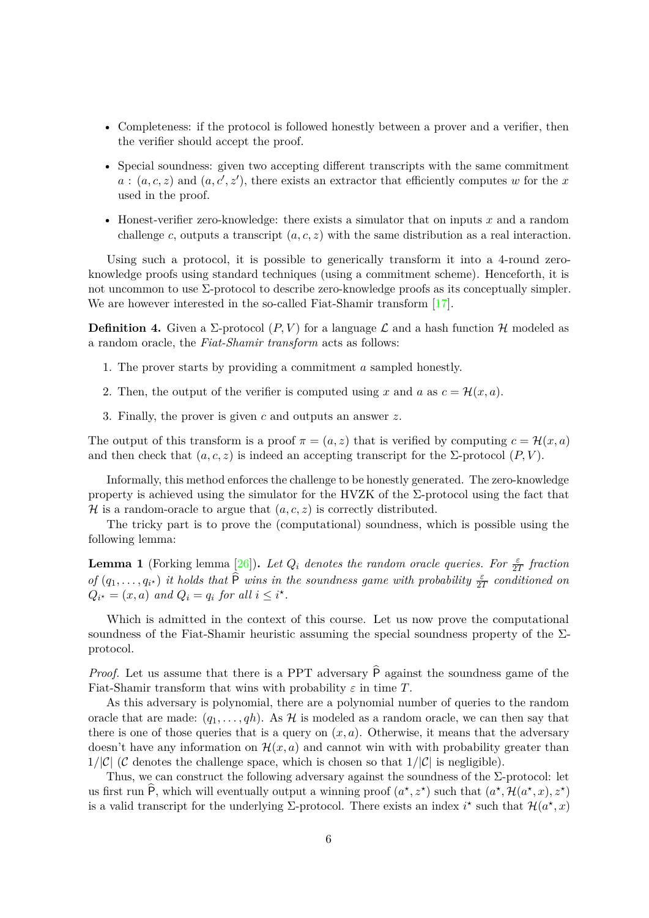- Completeness: if the protocol is followed honestly between a prover and a verifier, then the verifier should accept the proof.
- Special soundness: given two accepting different transcripts with the same commitment  $a:(a,c,z)$  and  $(a,c',z')$ , there exists an extractor that efficiently computes *w* for the *x* used in the proof.
- Honest-verifier zero-knowledge: there exists a simulator that on inputs  $x$  and a random challenge *c*, outputs a transcript (*a, c, z*) with the same distribution as a real interaction.

Using such a protocol, it is possible to generically transform it into a 4-round zeroknowledge proofs using standard techniques (using a commitment scheme). Henceforth, it is not uncommon to use  $\Sigma$ -protocol to describe zero-knowledge proofs as its conceptually simpler. We are however interested in the so-called Fiat-Shamir transform [\[17\]](#page-26-3).

<span id="page-5-1"></span>**Definition 4.** Given a  $\Sigma$ -protocol  $(P, V)$  for a language  $\mathcal L$  and a hash function  $\mathcal H$  modeled as a random oracle, the *Fiat-Shamir transform* acts as follows:

- 1. The prover starts by providing a commitment *a* sampled honestly.
- 2. Then, the output of the verifier is computed using *x* and *a* as  $c = \mathcal{H}(x, a)$ .
- 3. Finally, the prover is given *c* and outputs an answer *z*.

The output of this transform is a proof  $\pi = (a, z)$  that is verified by computing  $c = \mathcal{H}(x, a)$ and then check that  $(a, c, z)$  is indeed an accepting transcript for the  $\Sigma$ -protocol  $(P, V)$ .

Informally, this method enforces the challenge to be honestly generated. The zero-knowledge property is achieved using the simulator for the HVZK of the  $\Sigma$ -protocol using the fact that  $\mathcal H$  is a random-oracle to argue that  $(a, c, z)$  is correctly distributed.

The tricky part is to prove the (computational) soundness, which is possible using the following lemma:

<span id="page-5-0"></span>**Lemma 1** (Forking lemma [\[26\]](#page-27-0)). Let  $Q_i$  denotes the random oracle queries. For  $\frac{\varepsilon}{2T}$  fraction *of*  $(q_1, \ldots, q_{i^*})$  *it holds that*  $\widehat{P}$  *wins in the soundness game with probability*  $\frac{\varepsilon}{2T}$  *conditioned on*  $Q_{i^*} = (x, a)$  *and*  $Q_i = q_i$  *for all*  $i \leq i^*$ .

Which is admitted in the context of this course. Let us now prove the computational soundness of the Fiat-Shamir heuristic assuming the special soundness property of the  $\Sigma$ protocol.

*Proof.* Let us assume that there is a PPT adversary  $\hat{P}$  against the soundness game of the Fiat-Shamir transform that wins with probability  $\varepsilon$  in time  $T$ .

As this adversary is polynomial, there are a polynomial number of queries to the random oracle that are made:  $(q_1, \ldots, q_h)$ . As H is modeled as a random oracle, we can then say that there is one of those queries that is a query on  $(x, a)$ . Otherwise, it means that the adversary doesn't have any information on  $\mathcal{H}(x, a)$  and cannot win with with probability greater than  $1/|\mathcal{C}|$  (C denotes the challenge space, which is chosen so that  $1/|\mathcal{C}|$  is negligible).

Thus, we can construct the following adversary against the soundness of the  $\Sigma$ -protocol: let us first run  $\widehat{P}$ , which will eventually output a winning proof  $(a^*, z^*)$  such that  $(a^*, \mathcal{H}(a^*, x), z^*)$ is a valid transcript for the underlying  $\Sigma$ -protocol. There exists an index  $i^*$  such that  $\mathcal{H}(a^*, x)$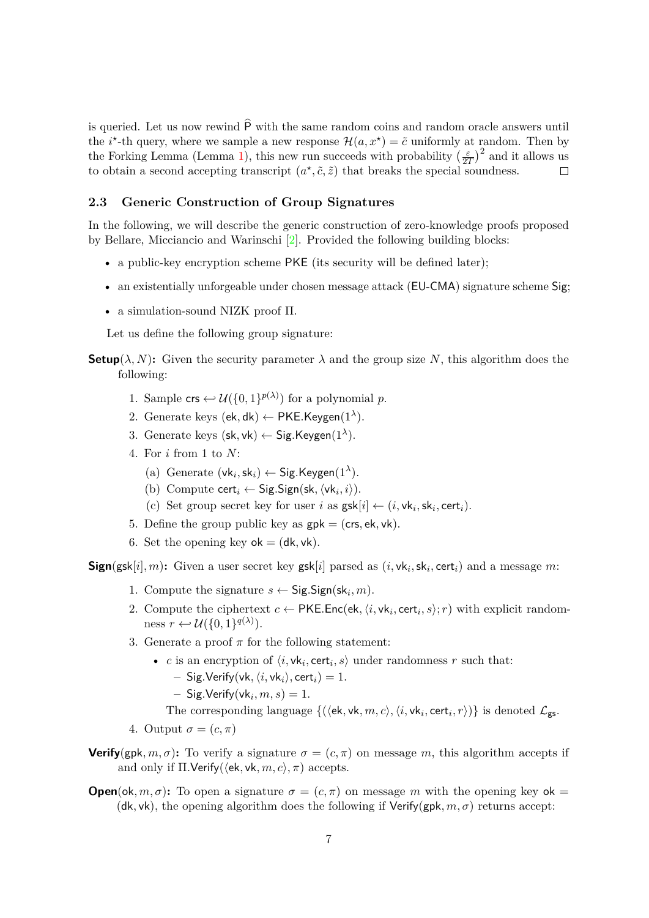is queried. Let us now rewind  $\hat{P}$  with the same random coins and random oracle answers until the *i*<sup>\*</sup>-th query, where we sample a new response  $\mathcal{H}(a, x^*) = \tilde{c}$  uniformly at random. Then by  $\left(\frac{\varepsilon}{2T}\right)^2$  and it allows us the Forking Lemma (Lemma [1\)](#page-5-0), this new run succeeds with probability  $\left(\frac{\varepsilon}{2}\right)$ to obtain a second accepting transcript  $(a^*, \tilde{c}, \tilde{z})$  that breaks the special soundness.  $\Box$ 

### <span id="page-6-0"></span>**2.3 Generic Construction of Group Signatures**

In the following, we will describe the generic construction of zero-knowledge proofs proposed by Bellare, Micciancio and Warinschi [\[2\]](#page-25-1). Provided the following building blocks:

- a public-key encryption scheme  $PKE$  (its security will be defined later);
- an existentially unforgeable under chosen message attack (EU-CMA) signature scheme Sig;
- a simulation-sound NIZK proof Π.

Let us define the following group signature:

- **Setup**( $\lambda$ , N): Given the security parameter  $\lambda$  and the group size N, this algorithm does the following:
	- 1. Sample  $\mathsf{crs} \leftarrow \mathcal{U}(\{0,1\}^{p(\lambda)})$  for a polynomial *p*.
	- 2. Generate keys  $(\mathsf{ek}, \mathsf{dk}) \leftarrow \mathsf{PKE}.\mathsf{Keygen}(1^\lambda).$
	- 3. Generate keys (sk*,* vk) <sup>←</sup> Sig*.*Keygen(1*<sup>λ</sup>* ).
	- 4. For *i* from 1 to *N*:
		- (a) Generate  $(\mathsf{vk}_i, \mathsf{sk}_i) \leftarrow \mathsf{Sig}.\mathsf{Keygen}(1^\lambda).$
		- (b) Compute  $\textsf{cert}_i \leftarrow \textsf{Sig}.\textsf{Sign}(\textsf{sk}, \langle \textsf{vk}_i, i \rangle).$
		- (c) Set group secret key for user *i* as  $\text{gsk}[i] \leftarrow (i, \text{vk}_i, \text{sk}_i, \text{cert}_i).$
	- 5. Define the group public key as  $gpk = (crs, ek, vk)$ .
	- 6. Set the opening key  $ok = (dk, vk)$ .

**Sign**(gsk[i], m): Given a user secret key gsk[i] parsed as  $(i, \mathsf{vk}_i, \mathsf{sk}_i, \mathsf{cert}_i)$  and a message m:

- 1. Compute the signature  $s \leftarrow$  Sig.Sign(sk<sub>i</sub>, m).
- 2. Compute the ciphertext  $c \leftarrow \textsf{PKE}.\textsf{Enc}(\textsf{ek}, \langle i, \textsf{vk}_i, \textsf{cert}_i, s \rangle; r)$  with explicit randomness  $r \leftrightarrow \mathcal{U}(\{0,1\}^{q(\lambda)}).$
- 3. Generate a proof  $\pi$  for the following statement:
	- *c* is an encryption of  $\langle i, \mathsf{vk}_i, \mathsf{cert}_i, s \rangle$  under randomness  $r$  such that:
		- $-Sig.Verify(vk, \langle i, vk_i \rangle, cert_i) = 1.$
		- $-$  Sig.Verify $(\mathsf{vk}_i, m, s) = 1$ .

The corresponding language  $\{(\langle$ **ek**,  $\mathsf{vk}, m, c \rangle, \langle i, \mathsf{vk}_i, \mathsf{cert}_i, r \rangle)\}$  is denoted  $\mathcal{L}_{\mathsf{gs}}$ .

- 4. Output  $\sigma = (c, \pi)$
- **Verify**(gpk,  $m, \sigma$ ): To verify a signature  $\sigma = (c, \pi)$  on message m, this algorithm accepts if and only if  $\Pi$ *.*Verify( $\langle$ ek, vk,  $m, c \rangle$ ,  $\pi$ ) accepts.
- **Open**(ok, m,  $\sigma$ ): To open a signature  $\sigma = (c, \pi)$  on message m with the opening key ok = (dk, vk), the opening algorithm does the following if  $Verify(gpk, m, \sigma)$  returns accept: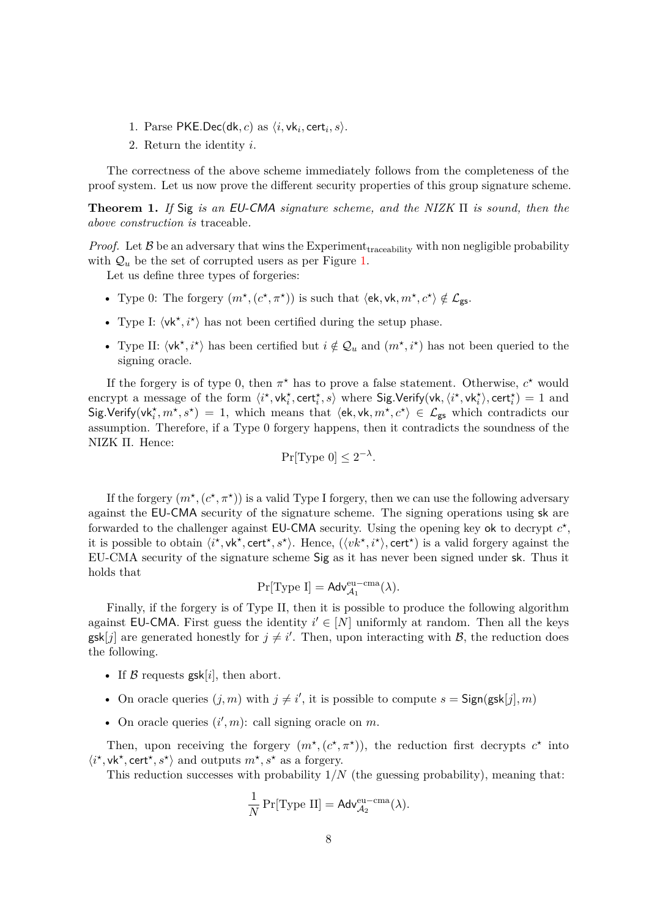- 1. Parse  $PKE Dec(dk, c)$  as  $\langle i, v k_i, cert_i, s \rangle$ .
- 2. Return the identity *i*.

The correctness of the above scheme immediately follows from the completeness of the proof system. Let us now prove the different security properties of this group signature scheme.

**Theorem 1.** *If* Sig *is an* EU-CMA *signature scheme, and the NIZK* Π *is sound, then the above construction is* traceable*.*

*Proof.* Let  $\beta$  be an adversary that wins the Experiment<sub>traceability</sub> with non negligible probability with  $\mathcal{Q}_u$  be the set of corrupted users as per Figure [1.](#page-2-1)

Let us define three types of forgeries:

- Type 0: The forgery  $(m^{\star}, (c^{\star}, \pi^{\star}))$  is such that  $\langle$ ek, vk,  $m^{\star}, c^{\star} \rangle \notin \mathcal{L}_{\texttt{gs}}$ .
- Type I:  $\langle \mathsf{vk}^\star, i^\star \rangle$  has not been certified during the setup phase.
- Type II:  $\langle \mathsf{vk}^{\star}, i^{\star} \rangle$  has been certified but  $i \notin \mathcal{Q}_u$  and  $(m^{\star}, i^{\star})$  has not been queried to the signing oracle.

If the forgery is of type 0, then  $\pi^*$  has to prove a false statement. Otherwise,  $c^*$  would encrypt a message of the form  $\langle i^*, \mathsf{vk}_i^*, \mathsf{cert}_i^*, s \rangle$  where  $\mathsf{Sig}.\mathsf{Verify}(\mathsf{vk}, \langle i^*, \mathsf{vk}_i^* \rangle, \mathsf{cert}_i^*) = 1$  and  $\textsf{Sig.Verify}(\textsf{vk}_i^\star, m^\star, s^\star) = 1$ , which means that  $\langle$ ek, vk,  $m^\star, c^\star \rangle \in \mathcal{L}_{\textsf{gs}}$  which contradicts our assumption. Therefore, if a Type 0 forgery happens, then it contradicts the soundness of the NIZK Π. Hence:

$$
\Pr[\text{Type 0}] \le 2^{-\lambda}.
$$

If the forgery  $(m^*, (c^*, \pi^*))$  is a valid Type I forgery, then we can use the following adversary against the EU-CMA security of the signature scheme. The signing operations using sk are forwarded to the challenger against  $EU-CMA$  security. Using the opening key ok to decrypt  $c^*$ , it is possible to obtain  $\langle i^{\star}, \mathsf{vk}^{\star}, \mathsf{cert}^{\star}, s^{\star} \rangle$ . Hence,  $(\langle vk^{\star}, i^{\star} \rangle, \mathsf{cert}^{\star})$  is a valid forgery against the EU-CMA security of the signature scheme Sig as it has never been signed under sk. Thus it holds that

$$
\Pr[\text{Type I}] = \text{Adv}_{\mathcal{A}_1}^{\text{eu-cma}}(\lambda).
$$

Finally, if the forgery is of Type II, then it is possible to produce the following algorithm against **EU-CMA**. First guess the identity  $i' \in [N]$  uniformly at random. Then all the keys  $gsk[j]$  are generated honestly for  $j \neq i'$ . Then, upon interacting with B, the reduction does the following.

- If  $\beta$  requests gsk[i], then abort.
- On oracle queries  $(j, m)$  with  $j \neq i'$ , it is possible to compute  $s = \text{Sign}(\text{gsk}[j], m)$
- On oracle queries  $(i', m)$ : call signing oracle on  $m$ .

Then, upon receiving the forgery  $(m^*, (c^*, \pi^*))$ , the reduction first decrypts  $c^*$  into  $\langle i^{\star}, \mathsf{vk}^{\star}, \mathsf{cert}^{\star}, s^{\star} \rangle$  and outputs  $m^{\star}, s^{\star}$  as a forgery.

This reduction successes with probability 1*/N* (the guessing probability), meaning that:

$$
\frac{1}{N}\Pr[\text{Type II}] = \mathsf{Adv}_{\mathcal{A}_2}^{\text{eu-cma}}(\lambda).
$$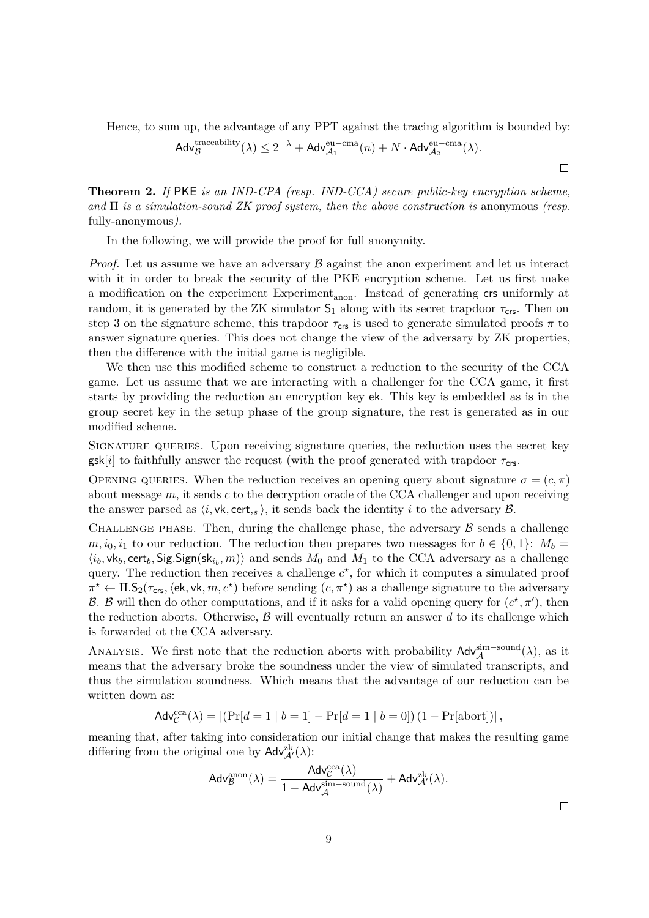Hence, to sum up, the advantage of any PPT against the tracing algorithm is bounded by:

$$
\mathsf{Adv}_{\mathcal{B}}^{\mathrm{traceability}}(\lambda) \leq 2^{-\lambda} + \mathsf{Adv}_{\mathcal{A}_1}^{\mathrm{eu-cma}}(n) + N \cdot \mathsf{Adv}_{\mathcal{A}_2}^{\mathrm{eu-cma}}(\lambda).
$$

**Theorem 2.** *If* PKE *is an IND-CPA (resp. IND-CCA) secure public-key encryption scheme, and* Π *is a simulation-sound ZK proof system, then the above construction is* anonymous *(resp.* fully-anonymous*).*

In the following, we will provide the proof for full anonymity.

*Proof.* Let us assume we have an adversary  $\beta$  against the anon experiment and let us interact with it in order to break the security of the PKE encryption scheme. Let us first make a modification on the experiment  $Experiment_{anon}$ . Instead of generating crs uniformly at random, it is generated by the ZK simulator  $S_1$  along with its secret trapdoor  $\tau_{\text{crs}}$ . Then on step 3 on the signature scheme, this trapdoor  $\tau_{\text{crs}}$  is used to generate simulated proofs  $\pi$  to answer signature queries. This does not change the view of the adversary by ZK properties, then the difference with the initial game is negligible.

We then use this modified scheme to construct a reduction to the security of the CCA game. Let us assume that we are interacting with a challenger for the CCA game, it first starts by providing the reduction an encryption key ek. This key is embedded as is in the group secret key in the setup phase of the group signature, the rest is generated as in our modified scheme.

Signature queries. Upon receiving signature queries, the reduction uses the secret key  $g$ sk[*i*] to faithfully answer the request (with the proof generated with trapdoor  $\tau_{\text{crs}}$ .

OPENING QUERIES. When the reduction receives an opening query about signature  $\sigma = (c, \pi)$ about message *m*, it sends *c* to the decryption oracle of the CCA challenger and upon receiving the answer parsed as  $\langle i, \mathsf{vk}, \mathsf{cert}, s \rangle$ , it sends back the identity *i* to the adversary  $\mathcal B$ .

CHALLENGE PHASE. Then, during the challenge phase, the adversary  $\beta$  sends a challenge  $m, i_0, i_1$  to our reduction. The reduction then prepares two messages for  $b \in \{0, 1\}$ :  $M_b =$  $\langle i_b, \text{vk}_b, \text{cert}_b, \text{Sig.Sign}(\text{sk}_{i_b}, m) \rangle$  and sends  $M_0$  and  $M_1$  to the CCA adversary as a challenge query. The reduction then receives a challenge  $c^*$ , for which it computes a simulated proof  $\pi^* \leftarrow \Pi.S_2(\tau_{\text{crs}},\langle \text{ek}, \text{vk}, m, c^* \rangle)$  before sending  $(c, \pi^*)$  as a challenge signature to the adversary B. B will then do other computations, and if it asks for a valid opening query for  $(c^*, \pi')$ , then the reduction aborts. Otherwise,  $\beta$  will eventually return an answer d to its challenge which is forwarded ot the CCA adversary.

ANALYSIS. We first note that the reduction aborts with probability  $\mathsf{Adv}_{\mathcal{A}}^{\text{sim-sound}}(\lambda)$ , as it means that the adversary broke the soundness under the view of simulated transcripts, and thus the simulation soundness. Which means that the advantage of our reduction can be written down as:

$$
Adv_C^{cca}(\lambda) = |(Pr[d = 1 | b = 1] - Pr[d = 1 | b = 0]) (1 - Pr[abort])|,
$$

meaning that, after taking into consideration our initial change that makes the resulting game differing from the original one by  $\mathsf{Adv}_{\mathcal{A}'}^{\mathsf{zk}}(\lambda)$ :

$$
\mathsf{Adv}_{\mathcal{B}}^{\mathrm{anon}}(\lambda) = \frac{\mathsf{Adv}_{\mathcal{C}}^{\mathrm{cca}}(\lambda)}{1 - \mathsf{Adv}_{\mathcal{A}}^{\mathrm{sim-sound}}(\lambda)} + \mathsf{Adv}_{\mathcal{A}'}^{\mathrm{zk}}(\lambda).
$$

 $\Box$ 

 $\Box$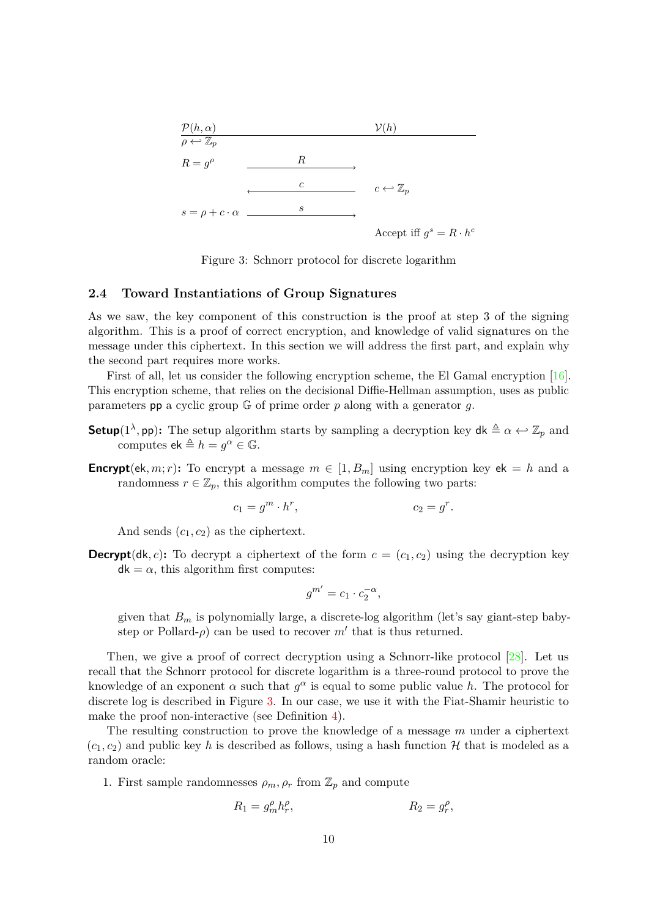

<span id="page-9-1"></span>Figure 3: Schnorr protocol for discrete logarithm

### <span id="page-9-0"></span>**2.4 Toward Instantiations of Group Signatures**

As we saw, the key component of this construction is the proof at step 3 of the signing algorithm. This is a proof of correct encryption, and knowledge of valid signatures on the message under this ciphertext. In this section we will address the first part, and explain why the second part requires more works.

First of all, let us consider the following encryption scheme, the El Gamal encryption [\[16\]](#page-26-4). This encryption scheme, that relies on the decisional Diffie-Hellman assumption, uses as public parameters pp a cyclic group G of prime order *p* along with a generator *g*.

- **Setup**(1<sup>λ</sup>, pp): The setup algorithm starts by sampling a decryption key  $dk \triangleq \alpha \leftrightarrow \mathbb{Z}_p$  and computes  $ek \triangleq h = g^{\alpha} \in \mathbb{G}$ .
- **Encrypt**(ek, m; r): To encrypt a message  $m \in [1, B_m]$  using encryption key ek = *h* and a randomness  $r \in \mathbb{Z}_p$ , this algorithm computes the following two parts:

$$
c_1 = g^m \cdot h^r, \qquad c_2 = g^r.
$$

And sends  $(c_1, c_2)$  as the ciphertext.

**Decrypt**(dk, *c*): To decrypt a ciphertext of the form  $c = (c_1, c_2)$  using the decryption key  $dk = \alpha$ , this algorithm first computes:

$$
g^{m'} = c_1 \cdot c_2^{-\alpha},
$$

given that  $B_m$  is polynomially large, a discrete-log algorithm (let's say giant-step babystep or Pollard- $\rho$ ) can be used to recover  $m'$  that is thus returned.

Then, we give a proof of correct decryption using a Schnorr-like protocol [\[28\]](#page-27-1). Let us recall that the Schnorr protocol for discrete logarithm is a three-round protocol to prove the knowledge of an exponent  $\alpha$  such that  $g^{\alpha}$  is equal to some public value *h*. The protocol for discrete log is described in Figure [3.](#page-9-1) In our case, we use it with the Fiat-Shamir heuristic to make the proof non-interactive (see Definition [4\)](#page-5-1).

The resulting construction to prove the knowledge of a message *m* under a ciphertext  $(c_1, c_2)$  and public key h is described as follows, using a hash function H that is modeled as a random oracle:

1. First sample randomnesses  $\rho_m$ ,  $\rho_r$  from  $\mathbb{Z}_p$  and compute

$$
R_1 = g_m^{\rho} h_r^{\rho}, \qquad R_2 = g_r^{\rho},
$$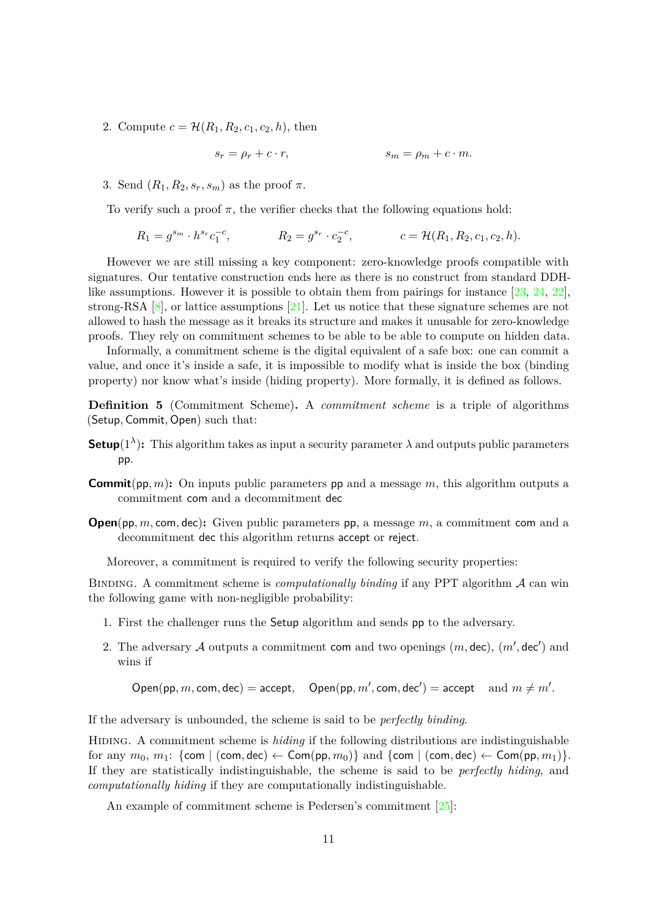2. Compute  $c = \mathcal{H}(R_1, R_2, c_1, c_2, h)$ , then

$$
s_r = \rho_r + c \cdot r, \qquad s_m = \rho_m + c \cdot m.
$$

3. Send  $(R_1, R_2, s_r, s_m)$  as the proof  $\pi$ .

To verify such a proof  $\pi$ , the verifier checks that the following equations hold:

$$
R_1 = g^{s_m} \cdot h^{s_r} c_1^{-c}, \qquad R_2 = g^{s_r} \cdot c_2^{-c}, \qquad c = \mathcal{H}(R_1, R_2, c_1, c_2, h).
$$

However we are still missing a key component: zero-knowledge proofs compatible with signatures. Our tentative construction ends here as there is no construct from standard DDHlike assumptions. However it is possible to obtain them from pairings for instance  $[23, 24, 22]$  $[23, 24, 22]$  $[23, 24, 22]$  $[23, 24, 22]$ , strong-RSA  $[8]$ , or lattice assumptions  $[21]$ . Let us notice that these signature schemes are not allowed to hash the message as it breaks its structure and makes it unusable for zero-knowledge proofs. They rely on commitment schemes to be able to be able to compute on hidden data.

Informally, a commitment scheme is the digital equivalent of a safe box: one can commit a value, and once it's inside a safe, it is impossible to modify what is inside the box (binding property) nor know what's inside (hiding property). More formally, it is defined as follows.

**Definition 5** (Commitment Scheme). A *commitment scheme* is a triple of algorithms (Setup*,* Commit*,* Open) such that:

- **Setup**( $1^{\lambda}$ ): This algorithm takes as input a security parameter  $\lambda$  and outputs public parameters pp.
- **Commit**(pp*, m*)**:** On inputs public parameters pp and a message *m*, this algorithm outputs a commitment com and a decommitment dec
- **Open**(pp*, m,* com*,* dec)**:** Given public parameters pp, a message *m*, a commitment com and a decommitment dec this algorithm returns accept or reject.

Moreover, a commitment is required to verify the following security properties:

Binding. A commitment scheme is *computationally binding* if any PPT algorithm A can win the following game with non-negligible probability:

- 1. First the challenger runs the Setup algorithm and sends pp to the adversary.
- 2. The adversary  $\mathcal A$  outputs a commitment com and two openings  $(m, \text{dec}), (m', \text{dec}')$  and wins if

 $\mathsf{Open}(\mathsf{pp}, m, \mathsf{com}, \mathsf{dec}) = \mathsf{accept}, \quad \mathsf{Open}(\mathsf{pp}, m', \mathsf{com}, \mathsf{dec}') = \mathsf{accept} \quad \text{and } m \neq m'.$ 

If the adversary is unbounded, the scheme is said to be *perfectly binding*.

Hiding. A commitment scheme is *hiding* if the following distributions are indistinguishable for any  $m_0, m_1$ : {com | (com, dec)  $\leftarrow$  Com(pp,  $m_0$ )} and {com | (com, dec)  $\leftarrow$  Com(pp,  $m_1$ )}. If they are statistically indistinguishable, the scheme is said to be *perfectly hiding*, and *computationally hiding* if they are computationally indistinguishable.

An example of commitment scheme is Pedersen's commitment  $[25]$ :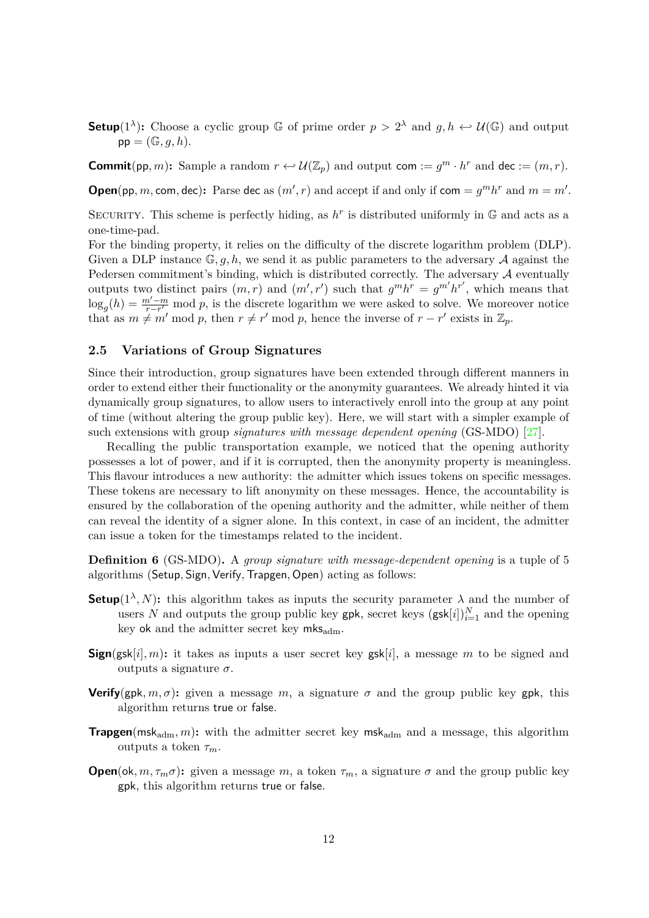**Setup**(1<sup> $\lambda$ </sup>): Choose a cyclic group G of prime order  $p > 2^{\lambda}$  and  $g, h \leftrightarrow \mathcal{U}(\mathbb{G})$  and output  $pp = (\mathbb{G}, q, h).$ 

**Commit**(pp, *m*): Sample a random  $r \leftrightarrow \mathcal{U}(\mathbb{Z}_p)$  and output com  $:= g^m \cdot h^r$  and dec  $:= (m, r)$ .

**Open**(pp, *m*, com, dec): Parse dec as  $(m', r)$  and accept if and only if com =  $g^m h^r$  and  $m = m'$ .

SECURITY. This scheme is perfectly hiding, as  $h^r$  is distributed uniformly in  $\mathbb G$  and acts as a one-time-pad.

For the binding property, it relies on the difficulty of the discrete logarithm problem (DLP). Given a DLP instance  $\mathbb{G}, q, h$ , we send it as public parameters to the adversary  $A$  against the Pedersen commitment's binding, which is distributed correctly. The adversary  $A$  eventually outputs two distinct pairs  $(m, r)$  and  $(m', r')$  such that  $g^m h^r = g^{m'} h^{r'}$ , which means that  $\log_g(h) = \frac{m'-m}{r-r'}$  mod *p*, is the discrete logarithm we were asked to solve. We moreover notice that as  $m \neq m' \mod p$ , then  $r \neq r' \mod p$ , hence the inverse of  $r - r'$  exists in  $\mathbb{Z}_p$ .

### <span id="page-11-0"></span>**2.5 Variations of Group Signatures**

Since their introduction, group signatures have been extended through different manners in order to extend either their functionality or the anonymity guarantees. We already hinted it via dynamically group signatures, to allow users to interactively enroll into the group at any point of time (without altering the group public key). Here, we will start with a simpler example of such extensions with group *signatures with message dependent opening* (GS-MDO) [\[27\]](#page-27-2).

Recalling the public transportation example, we noticed that the opening authority possesses a lot of power, and if it is corrupted, then the anonymity property is meaningless. This flavour introduces a new authority: the admitter which issues tokens on specific messages. These tokens are necessary to lift anonymity on these messages. Hence, the accountability is ensured by the collaboration of the opening authority and the admitter, while neither of them can reveal the identity of a signer alone. In this context, in case of an incident, the admitter can issue a token for the timestamps related to the incident.

**Definition 6** (GS-MDO). A *group signature with message-dependent opening* is a tuple of 5 algorithms (Setup*,* Sign*,*Verify*,*Trapgen*,* Open) acting as follows:

- **Setup**( $1^{\lambda}$ , N): this algorithm takes as inputs the security parameter  $\lambda$  and the number of users *N* and outputs the group public key gpk, secret keys  $(gsk[i])_{i=1}^N$  and the opening key ok and the admitter secret key  $mks_{\text{adm}}$ .
- **Sign**(gsk[i], m): it takes as inputs a user secret key gsk[i], a message m to be signed and outputs a signature  $\sigma$ .
- **Verify**(gpk,  $m, \sigma$ ): given a message  $m$ , a signature  $\sigma$  and the group public key gpk, this algorithm returns true or false.
- **Trapgen**(msk<sub>adm</sub>, m): with the admitter secret key msk<sub>adm</sub> and a message, this algorithm outputs a token *τm*.
- **Open**(ok,  $m, \tau_m \sigma$ ): given a message  $m$ , a token  $\tau_m$ , a signature  $\sigma$  and the group public key gpk, this algorithm returns true or false.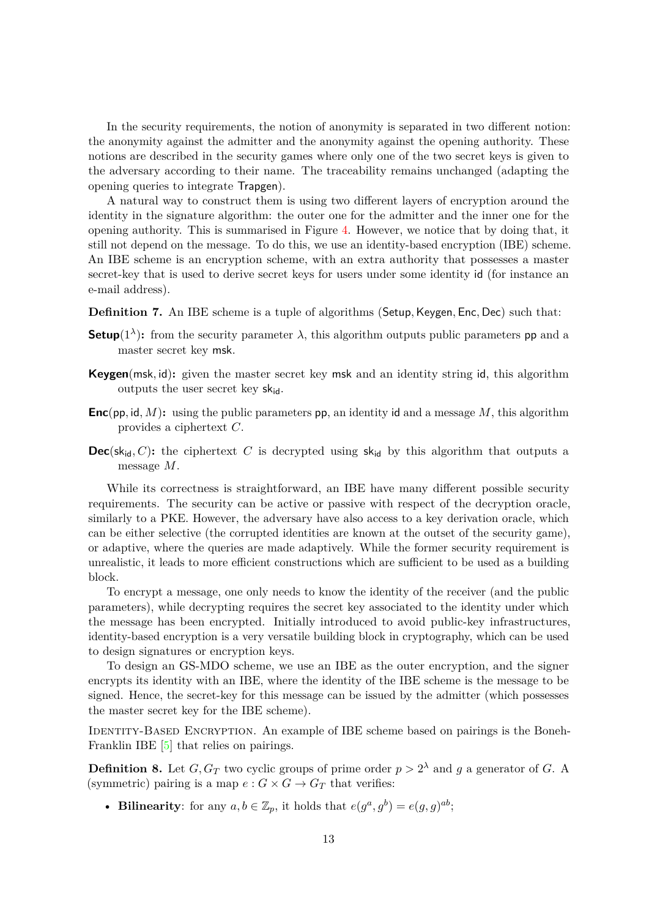In the security requirements, the notion of anonymity is separated in two different notion: the anonymity against the admitter and the anonymity against the opening authority. These notions are described in the security games where only one of the two secret keys is given to the adversary according to their name. The traceability remains unchanged (adapting the opening queries to integrate Trapgen).

A natural way to construct them is using two different layers of encryption around the identity in the signature algorithm: the outer one for the admitter and the inner one for the opening authority. This is summarised in Figure [4.](#page-13-0) However, we notice that by doing that, it still not depend on the message. To do this, we use an identity-based encryption (IBE) scheme. An IBE scheme is an encryption scheme, with an extra authority that possesses a master secret-key that is used to derive secret keys for users under some identity id (for instance an e-mail address).

**Definition 7.** An IBE scheme is a tuple of algorithms (Setup, Keygen, Enc, Dec) such that:

- **Setup**( $1^{\lambda}$ ): from the security parameter  $\lambda$ , this algorithm outputs public parameters pp and a master secret key msk.
- **Keygen**(msk*,* id)**:** given the master secret key msk and an identity string id, this algorithm outputs the user secret key  $sk_{id}$ .
- **Enc**(pp*,* id*, M*)**:** using the public parameters pp, an identity id and a message *M*, this algorithm provides a ciphertext *C*.
- **Dec**(sk<sub>id</sub>, C): the ciphertext C is decrypted using sk<sub>id</sub> by this algorithm that outputs a message *M*.

While its correctness is straightforward, an IBE have many different possible security requirements. The security can be active or passive with respect of the decryption oracle, similarly to a PKE. However, the adversary have also access to a key derivation oracle, which can be either selective (the corrupted identities are known at the outset of the security game), or adaptive, where the queries are made adaptively. While the former security requirement is unrealistic, it leads to more efficient constructions which are sufficient to be used as a building block.

To encrypt a message, one only needs to know the identity of the receiver (and the public parameters), while decrypting requires the secret key associated to the identity under which the message has been encrypted. Initially introduced to avoid public-key infrastructures, identity-based encryption is a very versatile building block in cryptography, which can be used to design signatures or encryption keys.

To design an GS-MDO scheme, we use an IBE as the outer encryption, and the signer encrypts its identity with an IBE, where the identity of the IBE scheme is the message to be signed. Hence, the secret-key for this message can be issued by the admitter (which possesses the master secret key for the IBE scheme).

IDENTITY-BASED ENCRYPTION. An example of IBE scheme based on pairings is the Boneh-Franklin IBE [\[5\]](#page-25-4) that relies on pairings.

**Definition 8.** Let  $G, G_T$  two cyclic groups of prime order  $p > 2^{\lambda}$  and g a generator of G. A (symmetric) pairing is a map  $e: G \times G \to G_T$  that verifies:

• **Bilinearity**: for any  $a, b \in \mathbb{Z}_p$ , it holds that  $e(g^a, g^b) = e(g, g)^{ab}$ ;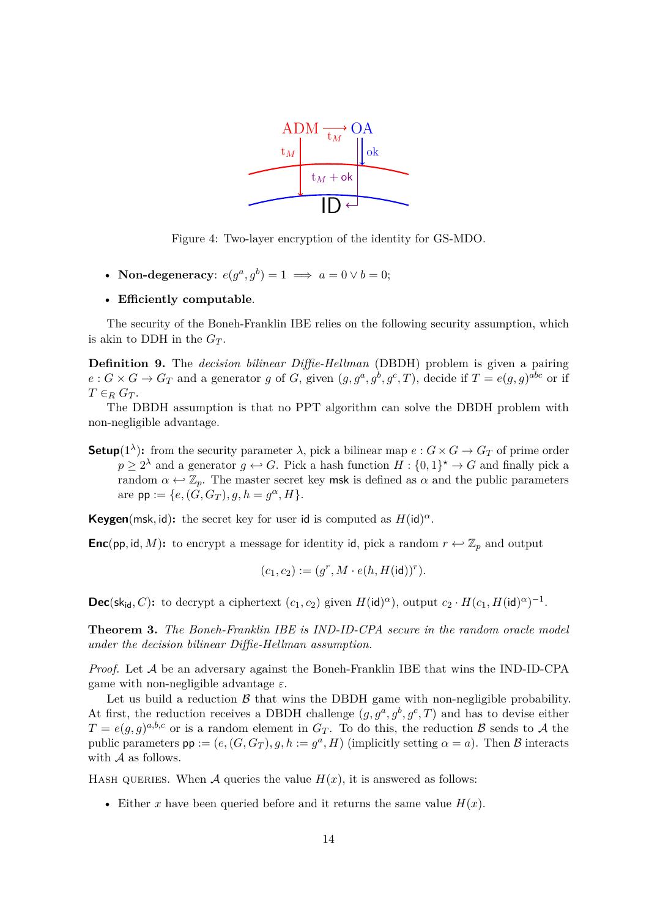

<span id="page-13-0"></span>Figure 4: Two-layer encryption of the identity for GS-MDO.

• **Non-degeneracy**:  $e(g^a, g^b) = 1 \implies a = 0 \lor b = 0;$ 

#### • **Efficiently computable**.

The security of the Boneh-Franklin IBE relies on the following security assumption, which is akin to DDH in the  $G_T$ .

**Definition 9.** The *decision bilinear Diffie-Hellman* (DBDH) problem is given a pairing  $e: G \times G \to G_T$  and a generator g of G, given  $(g, g^a, g^b, g^c, T)$ , decide if  $T = e(g, g)^{abc}$  or if  $T \in_R G_T$ .

The DBDH assumption is that no PPT algorithm can solve the DBDH problem with non-negligible advantage.

**Setup**(1<sup> $\lambda$ </sup>): from the security parameter  $\lambda$ , pick a bilinear map  $e: G \times G \to G_T$  of prime order  $p \geq 2^{\lambda}$  and a generator  $g \leftrightarrow G$ . Pick a hash function  $H : \{0,1\}^{\star} \to G$  and finally pick a random  $\alpha \leftrightarrow \mathbb{Z}_p$ . The master secret key msk is defined as  $\alpha$  and the public parameters  $are \text{ pp} := \{e, (G, G_T), g, h = g^{\alpha}, H\}.$ 

**Keygen**(msk, id): the secret key for user id is computed as  $H(\text{id})^{\alpha}$ .

**Enc**(pp, id, M): to encrypt a message for identity id, pick a random  $r \leftrightarrow \mathbb{Z}_p$  and output

$$
(c_1,c_2):=(g^r,M\cdot e(h,H(\operatorname{id}))^r).
$$

**Dec**(sk<sub>id</sub>, C): to decrypt a ciphertext  $(c_1, c_2)$  given  $H(\text{id})^{\alpha}$ ), output  $c_2 \cdot H(c_1, H(\text{id})^{\alpha})^{-1}$ .

**Theorem 3.** *The Boneh-Franklin IBE is IND-ID-CPA secure in the random oracle model under the decision bilinear Diffie-Hellman assumption.*

*Proof.* Let A be an adversary against the Boneh-Franklin IBE that wins the IND-ID-CPA game with non-negligible advantage *ε*.

Let us build a reduction  $\beta$  that wins the DBDH game with non-negligible probability. At first, the reduction receives a DBDH challenge  $(g, g^a, g^b, g^c, T)$  and has to devise either  $T = e(g, g)^{a, b, c}$  or is a random element in  $G_T$ . To do this, the reduction  $\beta$  sends to  $\mathcal A$  the public parameters  $pp := (e, (G, G_T), g, h := g^a, H)$  (implicitly setting  $\alpha = a$ ). Then B interacts with A as follows.

HASH QUERIES. When A queries the value  $H(x)$ , it is answered as follows:

• Either *x* have been queried before and it returns the same value  $H(x)$ .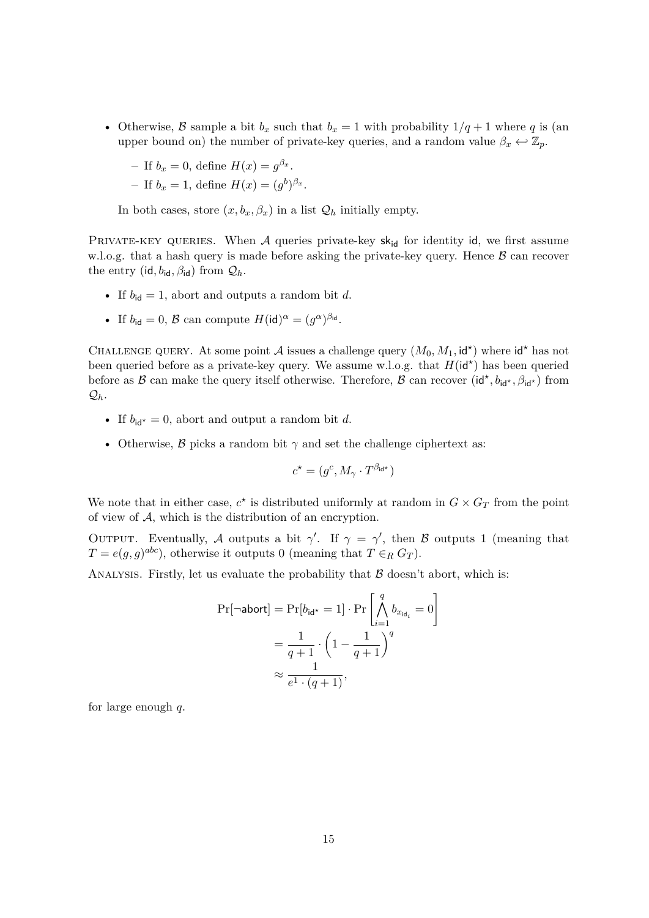• Otherwise, B sample a bit  $b_x$  such that  $b_x = 1$  with probability  $1/q + 1$  where q is (an upper bound on) the number of private-key queries, and a random value  $\beta_x \leftrightarrow \mathbb{Z}_p$ .

- If 
$$
b_x = 0
$$
, define  $H(x) = g^{\beta_x}$ .

- If 
$$
b_x = 1
$$
, define  $H(x) = (g^b)^{\beta_x}$ .

In both cases, store  $(x, b_x, \beta_x)$  in a list  $\mathcal{Q}_h$  initially empty.

PRIVATE-KEY QUERIES. When  $A$  queries private-key sk<sub>id</sub> for identity id, we first assume w.l.o.g. that a hash query is made before asking the private-key query. Hence  $\beta$  can recover the entry (id,  $b_{\text{id}}, \beta_{\text{id}}$ ) from  $\mathcal{Q}_h$ .

- If  $b_{\text{id}} = 1$ , abort and outputs a random bit *d*.
- If  $b_{\text{id}} = 0$ ,  $\mathcal{B}$  can compute  $H(\text{id})^{\alpha} = (g^{\alpha})^{\beta_{\text{id}}}$ .

CHALLENGE QUERY. At some point A issues a challenge query  $(M_0, M_1, id^*)$  where  $id^*$  has not been queried before as a private-key query. We assume w.l.o.g. that  $H(\mathsf{id}^*)$  has been queried before as  $B$  can make the query itself otherwise. Therefore,  $B$  can recover  $(id^{\star}, b_{id^{\star}}, \beta_{id^{\star}})$  from  $\mathcal{Q}_h$ .

- If  $b_{\mathsf{id}^*} = 0$ , abort and output a random bit *d*.
- Otherwise,  $\beta$  picks a random bit  $\gamma$  and set the challenge ciphertext as:

$$
c^\star = (g^c, M_\gamma \cdot T^{\beta_{\mathsf{id}^\star}})
$$

We note that in either case,  $c^*$  is distributed uniformly at random in  $G \times G_T$  from the point of view of A, which is the distribution of an encryption.

OUTPUT. Eventually, A outputs a bit  $\gamma'$ . If  $\gamma = \gamma'$ , then B outputs 1 (meaning that  $T = e(g, g)^{abc}$ , otherwise it outputs 0 (meaning that  $T \in_R G_T$ ).

ANALYSIS. Firstly, let us evaluate the probability that  $\beta$  doesn't abort, which is:

$$
Pr[\neg \text{abort}] = Pr[b_{\text{id}^*} = 1] \cdot Pr\left[\bigwedge_{i=1}^q b_{x_{\text{id}_i}} = 0\right]
$$

$$
= \frac{1}{q+1} \cdot \left(1 - \frac{1}{q+1}\right)^q
$$

$$
\approx \frac{1}{e^1 \cdot (q+1)},
$$

for large enough *q*.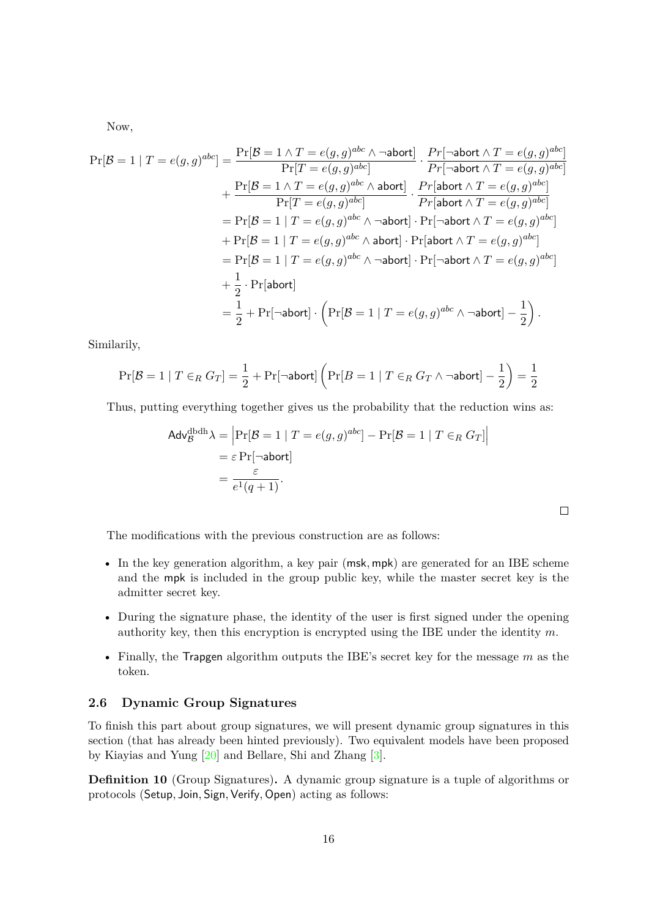Now,

$$
\Pr[\mathcal{B} = 1 | T = e(g, g)^{abc}] = \frac{\Pr[\mathcal{B} = 1 \land T = e(g, g)^{abc} \land \neg abort]}{\Pr[T = e(g, g)^{abc}]} \cdot \frac{Pr[\neg abort \land T = e(g, g)^{abc}]}{Pr[\neg abort \land T = e(g, g)^{abc}]}
$$
\n
$$
+ \frac{\Pr[\mathcal{B} = 1 \land T = e(g, g)^{abc} \land abort]}{\Pr[T = e(g, g)^{abc}]} \cdot \frac{Pr[abort \land T = e(g, g)^{abc}]}{Pr[abort \land T = e(g, g)^{abc}]}
$$
\n
$$
= \Pr[\mathcal{B} = 1 | T = e(g, g)^{abc} \land \neg abort] \cdot \Pr[\neg abort \land T = e(g, g)^{abc}]
$$
\n
$$
+ \Pr[\mathcal{B} = 1 | T = e(g, g)^{abc} \land abort] \cdot \Pr[abort \land T = e(g, g)^{abc}]
$$
\n
$$
= \Pr[\mathcal{B} = 1 | T = e(g, g)^{abc} \land \neg abort] \cdot \Pr[\neg abort \land T = e(g, g)^{abc}]
$$
\n
$$
+ \frac{1}{2} \cdot \Pr[abort]
$$
\n
$$
= \frac{1}{2} + \Pr[\neg abort] \cdot \left(\Pr[\mathcal{B} = 1 | T = e(g, g)^{abc} \land \neg abort] - \frac{1}{2}\right).
$$

Similarily,

$$
\Pr[\mathcal{B} = 1 \mid T \in_R G_T] = \frac{1}{2} + \Pr[\neg \mathsf{abort}] \left( \Pr[B = 1 \mid T \in_R G_T \land \neg \mathsf{abort}] - \frac{1}{2} \right) = \frac{1}{2}
$$

Thus, putting everything together gives us the probability that the reduction wins as:

$$
\begin{aligned} \mathsf{Adv}_{\mathcal{B}}^{\text{dbdh}} \lambda &= \left| \Pr[\mathcal{B} = 1 \mid T = e(g, g)^{abc} \right] - \Pr[\mathcal{B} = 1 \mid T \in_R G_T] \right| \\ &= \varepsilon \Pr[\neg \mathsf{abort}] \\ &= \frac{\varepsilon}{e^1(q+1)}. \end{aligned}
$$

 $\Box$ 

The modifications with the previous construction are as follows:

- In the key generation algorithm, a key pair (msk*,* mpk) are generated for an IBE scheme and the mpk is included in the group public key, while the master secret key is the admitter secret key.
- During the signature phase, the identity of the user is first signed under the opening authority key, then this encryption is encrypted using the IBE under the identity *m*.
- Finally, the Trapgen algorithm outputs the IBE's secret key for the message  $m$  as the token.

## <span id="page-15-0"></span>**2.6 Dynamic Group Signatures**

To finish this part about group signatures, we will present dynamic group signatures in this section (that has already been hinted previously). Two equivalent models have been proposed by Kiayias and Yung [\[20\]](#page-26-10) and Bellare, Shi and Zhang [\[3\]](#page-25-2).

**Definition 10** (Group Signatures). A dynamic group signature is a tuple of algorithms or protocols (Setup*,* Join*,* Sign*,*Verify*,* Open) acting as follows: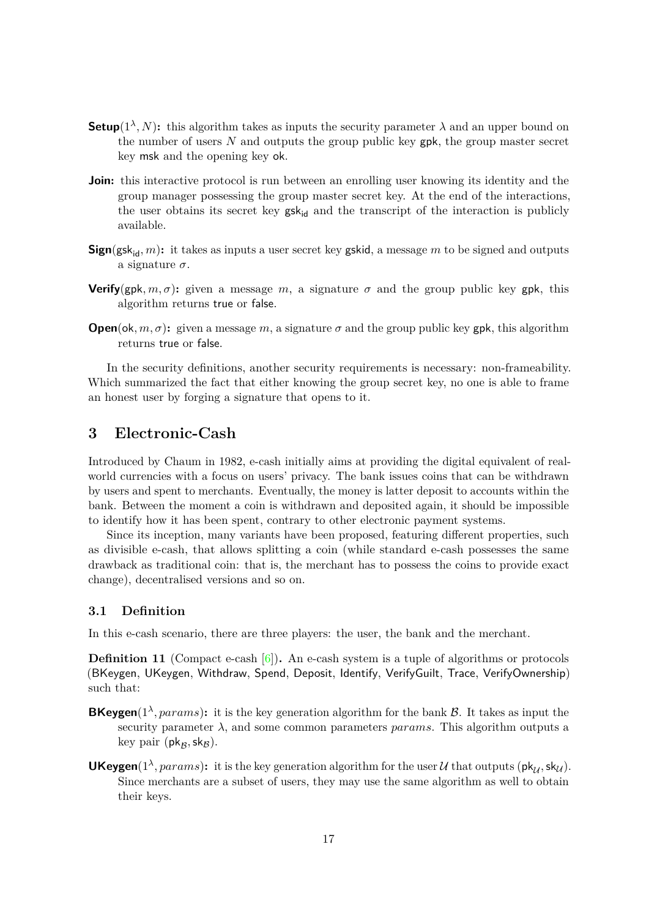- **Setup**( $1^{\lambda}$ , N): this algorithm takes as inputs the security parameter  $\lambda$  and an upper bound on the number of users *N* and outputs the group public key gpk, the group master secret key msk and the opening key ok.
- **Join:** this interactive protocol is run between an enrolling user knowing its identity and the group manager possessing the group master secret key. At the end of the interactions, the user obtains its secret key  $gsk_{id}$  and the transcript of the interaction is publicly available.
- **Sign**(gsk<sub>id</sub>, m): it takes as inputs a user secret key gskid, a message m to be signed and outputs a signature *σ*.
- **Verify**(gpk,  $m, \sigma$ ): given a message  $m$ , a signature  $\sigma$  and the group public key gpk, this algorithm returns true or false.
- **Open**(ok, m,  $\sigma$ ): given a message m, a signature  $\sigma$  and the group public key gpk, this algorithm returns true or false.

In the security definitions, another security requirements is necessary: non-frameability. Which summarized the fact that either knowing the group secret key, no one is able to frame an honest user by forging a signature that opens to it.

## <span id="page-16-0"></span>**3 Electronic-Cash**

Introduced by Chaum in 1982, e-cash initially aims at providing the digital equivalent of realworld currencies with a focus on users' privacy. The bank issues coins that can be withdrawn by users and spent to merchants. Eventually, the money is latter deposit to accounts within the bank. Between the moment a coin is withdrawn and deposited again, it should be impossible to identify how it has been spent, contrary to other electronic payment systems.

Since its inception, many variants have been proposed, featuring different properties, such as divisible e-cash, that allows splitting a coin (while standard e-cash possesses the same drawback as traditional coin: that is, the merchant has to possess the coins to provide exact change), decentralised versions and so on.

### <span id="page-16-1"></span>**3.1** Definition

In this e-cash scenario, there are three players: the user, the bank and the merchant.

**Definition 11** (Compact e-cash  $[6]$ ). An e-cash system is a tuple of algorithms or protocols (BKeygen, UKeygen, Withdraw, Spend, Deposit, Identify, VerifyGuilt, Trace, VerifyOwnership) such that:

- **BKeygen**( $1^{\lambda}$ , params): it is the key generation algorithm for the bank  $\beta$ . It takes as input the security parameter  $\lambda$ , and some common parameters *params*. This algorithm outputs a key pair  $(\mathsf{pk}_\mathcal{B},\mathsf{sk}_\mathcal{B})$ .
- **UKeygen**( $1^{\lambda}$ , params): it is the key generation algorithm for the user U that outputs ( $pk_{\mathcal{U}}$ ,  $sk_{\mathcal{U}}$ ). Since merchants are a subset of users, they may use the same algorithm as well to obtain their keys.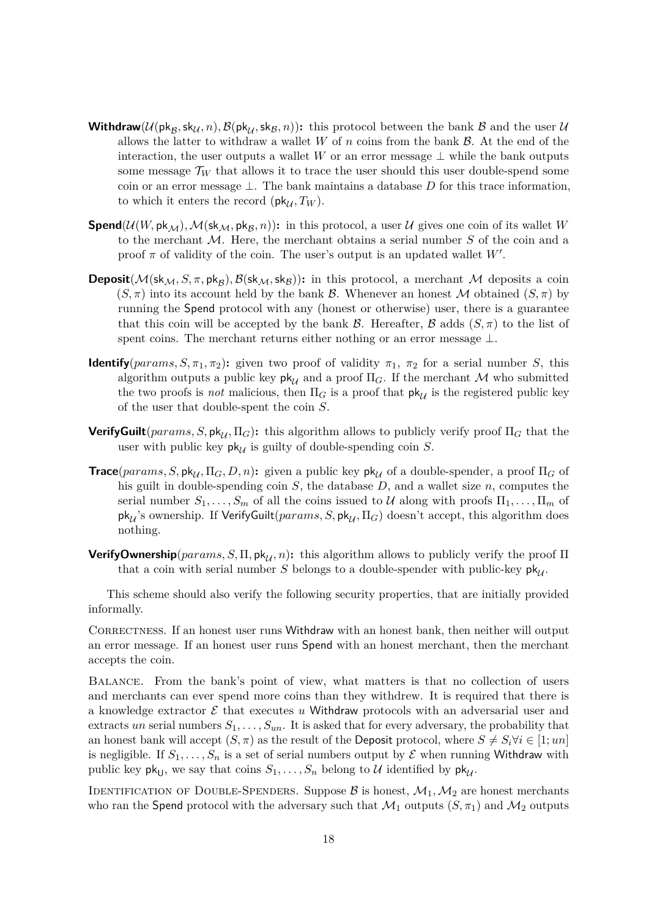- **Withdraw**( $\mathcal{U}(\mathsf{pk}_\mathcal{B},\mathsf{sk}_\mathcal{U},n),\mathcal{B}(\mathsf{pk}_\mathcal{U},\mathsf{sk}_\mathcal{B},n)$ ): this protocol between the bank  $\mathcal B$  and the user  $\mathcal U$ allows the latter to withdraw a wallet  $W$  of  $n$  coins from the bank  $\mathcal{B}$ . At the end of the interaction, the user outputs a wallet *W* or an error message  $\perp$  while the bank outputs some message  $\mathcal{T}_W$  that allows it to trace the user should this user double-spend some coin or an error message ⊥. The bank maintains a database *D* for this trace information, to which it enters the record ( $\mathsf{pk}_{\mathcal{U}}$ ,  $T_W$ ).
- **Spend**( $\mathcal{U}(W, \mathsf{pk}_{\mathcal{M}})$ ,  $\mathcal{M}(\mathsf{sk}_{\mathcal{M}}, \mathsf{pk}_{\mathcal{B}}, n)$ ): in this protocol, a user  $\mathcal{U}$  gives one coin of its wallet  $W$ to the merchant M. Here, the merchant obtains a serial number *S* of the coin and a proof  $\pi$  of validity of the coin. The user's output is an updated wallet  $W'$ .
- **Deposit**( $M$ (sk<sub>M</sub>, S,  $\pi$ , pk<sub>B</sub>),  $B$ (sk<sub>M</sub>, sk<sub>B</sub>)): in this protocol, a merchant M deposits a coin  $(S, \pi)$  into its account held by the bank B. Whenever an honest M obtained  $(S, \pi)$  by running the Spend protocol with any (honest or otherwise) user, there is a guarantee that this coin will be accepted by the bank  $\mathcal B$ . Hereafter,  $\mathcal B$  adds  $(S,\pi)$  to the list of spent coins. The merchant returns either nothing or an error message  $\perp$ .
- **Identify**( $params, S, \pi_1, \pi_2$ ): given two proof of validity  $\pi_1$ ,  $\pi_2$  for a serial number *S*, this algorithm outputs a public key  $\mathsf{pk}_{\mathcal{U}}$  and a proof  $\Pi_G$ . If the merchant M who submitted the two proofs is *not* malicious, then  $\Pi_G$  is a proof that  $\mathsf{pk}_{\mathcal{U}}$  is the registered public key of the user that double-spent the coin *S*.
- **VerifyGuilt**( $params, S, \text{pk}_{U}, \Pi_{G}$ ): this algorithm allows to publicly verify proof  $\Pi_{G}$  that the user with public key  $pk_{\mathcal{U}}$  is guilty of double-spending coin *S*.
- **Trace**( $params, S, \text{pk}_{\mathcal{U}}, \Pi_G, D, n$ ): given a public key  $\text{pk}_{\mathcal{U}}$  of a double-spender, a proof  $\Pi_G$  of his guilt in double-spending coin *S*, the database *D*, and a wallet size *n*, computes the serial number  $S_1, \ldots, S_m$  of all the coins issued to U along with proofs  $\Pi_1, \ldots, \Pi_m$  of  $pk_{\mathcal{U}}$ 's ownership. If VerifyGuilt( $params, S, pk_{\mathcal{U}}, \Pi_G$ ) doesn't accept, this algorithm does nothing.
- **VerifyOwnership**( $params, S, \Pi, pk, n$ ): this algorithm allows to publicly verify the proof  $\Pi$ that a coin with serial number *S* belongs to a double-spender with public-key  $pk_{\lambda}$ .

This scheme should also verify the following security properties, that are initially provided informally.

CORRECTNESS. If an honest user runs Withdraw with an honest bank, then neither will output an error message. If an honest user runs Spend with an honest merchant, then the merchant accepts the coin.

BALANCE. From the bank's point of view, what matters is that no collection of users and merchants can ever spend more coins than they withdrew. It is required that there is a knowledge extractor  $\mathcal E$  that executes  $u$  Withdraw protocols with an adversarial user and extracts *un* serial numbers  $S_1, \ldots, S_{un}$ . It is asked that for every adversary, the probability that an honest bank will accept  $(S, \pi)$  as the result of the Deposit protocol, where  $S \neq S_i \forall i \in [1; un]$ is negligible. If  $S_1, \ldots, S_n$  is a set of serial numbers output by  $\mathcal E$  when running Withdraw with public key  $pk_{U}$ , we say that coins  $S_1, \ldots, S_n$  belong to U identified by  $pk_{U}$ .

IDENTIFICATION OF DOUBLE-SPENDERS. Suppose  $\mathcal B$  is honest,  $\mathcal M_1,\mathcal M_2$  are honest merchants who ran the Spend protocol with the adversary such that  $\mathcal{M}_1$  outputs  $(S, \pi_1)$  and  $\mathcal{M}_2$  outputs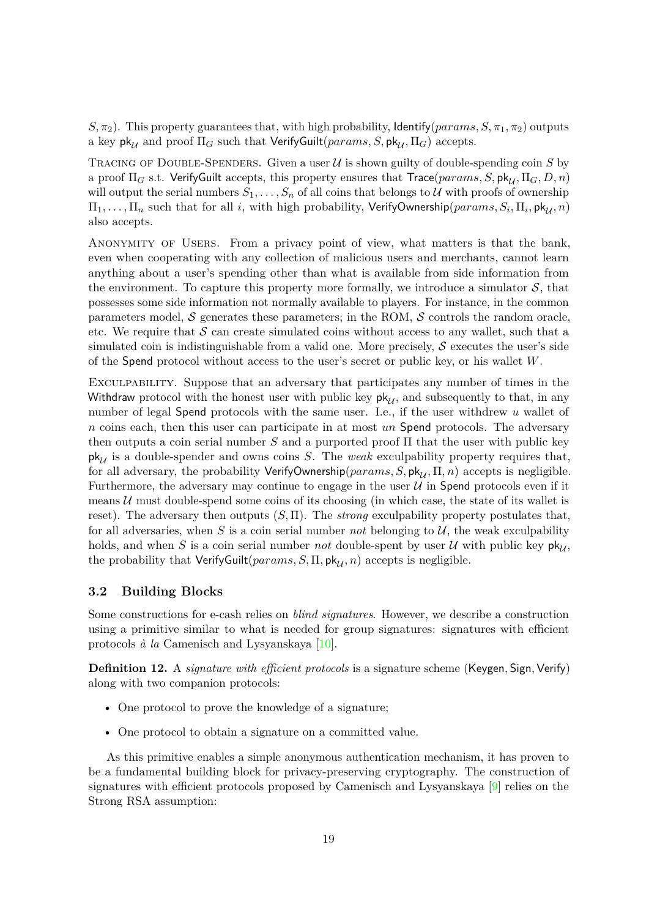*S*,  $\pi$ <sub>2</sub>). This property guarantees that, with high probability, Identify(*params*, *S*,  $\pi$ <sub>1</sub>,  $\pi$ <sub>2</sub>) outputs a key  $pk_{\mathcal{U}}$  and proof  $\Pi_G$  such that VerifyGuilt( $params, S, pk_{\mathcal{U}}, \Pi_G$ ) accepts.

TRACING OF DOUBLE-SPENDERS. Given a user  $U$  is shown guilty of double-spending coin  $S$  by a proof  $\Pi_G$  s.t. VerifyGuilt accepts, this property ensures that  $Trace(params, S, pk_{\mathcal{U}}, \Pi_G, D, n)$ will output the serial numbers  $S_1, \ldots, S_n$  of all coins that belongs to U with proofs of ownership  $\Pi_1,\ldots,\Pi_n$  such that for all *i*, with high probability,  $\mathsf{VerifyO}$ wnership $(params, S_i, \Pi_i, \mathsf{pk}_{\mathcal{U}}, n)$ also accepts.

Anonymity of Users. From a privacy point of view, what matters is that the bank, even when cooperating with any collection of malicious users and merchants, cannot learn anything about a user's spending other than what is available from side information from the environment. To capture this property more formally, we introduce a simulator  $S$ , that possesses some side information not normally available to players. For instance, in the common parameters model,  $\mathcal S$  generates these parameters; in the ROM,  $\mathcal S$  controls the random oracle, etc. We require that  $S$  can create simulated coins without access to any wallet, such that a simulated coin is indistinguishable from a valid one. More precisely,  $\mathcal S$  executes the user's side of the Spend protocol without access to the user's secret or public key, or his wallet *W*.

Exculpability. Suppose that an adversary that participates any number of times in the Withdraw protocol with the honest user with public key  $pk_{\mathcal{U}}$ , and subsequently to that, in any number of legal Spend protocols with the same user. I.e., if the user withdrew *u* wallet of *n* coins each, then this user can participate in at most *un* Spend protocols. The adversary then outputs a coin serial number *S* and a purported proof Π that the user with public key  $pk_{\mathcal{U}}$  is a double-spender and owns coins *S*. The *weak* exculpability property requires that, for all adversary, the probability VerifyOwnership( $params, S, pk_{11}, \Pi, n$ ) accepts is negligible. Furthermore, the adversary may continue to engage in the user  $U$  in Spend protocols even if it means  $U$  must double-spend some coins of its choosing (in which case, the state of its wallet is reset). The adversary then outputs  $(S, \Pi)$ . The *strong* exculpability property postulates that, for all adversaries, when  $S$  is a coin serial number *not* belonging to  $U$ , the weak exculpability holds, and when *S* is a coin serial number *not* double-spent by user *U* with public key  $pk_{\mathcal{U}}$ , the probability that VerifyGuilt( $params, S, \Pi, pk_{\mathcal{U}}, n)$  accepts is negligible.

### <span id="page-18-0"></span>**3.2 Building Blocks**

Some constructions for e-cash relies on *blind signatures*. However, we describe a construction using a primitive similar to what is needed for group signatures: signatures with efficient protocols *à la* Camenisch and Lysyanskaya [\[10\]](#page-26-11).

**Definition 12.** A *signature with efficient protocols* is a signature scheme (Keygen, Sign, Verify) along with two companion protocols:

- One protocol to prove the knowledge of a signature;
- One protocol to obtain a signature on a committed value.

As this primitive enables a simple anonymous authentication mechanism, it has proven to be a fundamental building block for privacy-preserving cryptography. The construction of signatures with efficient protocols proposed by Camenisch and Lysyanskaya [\[9\]](#page-25-6) relies on the Strong RSA assumption: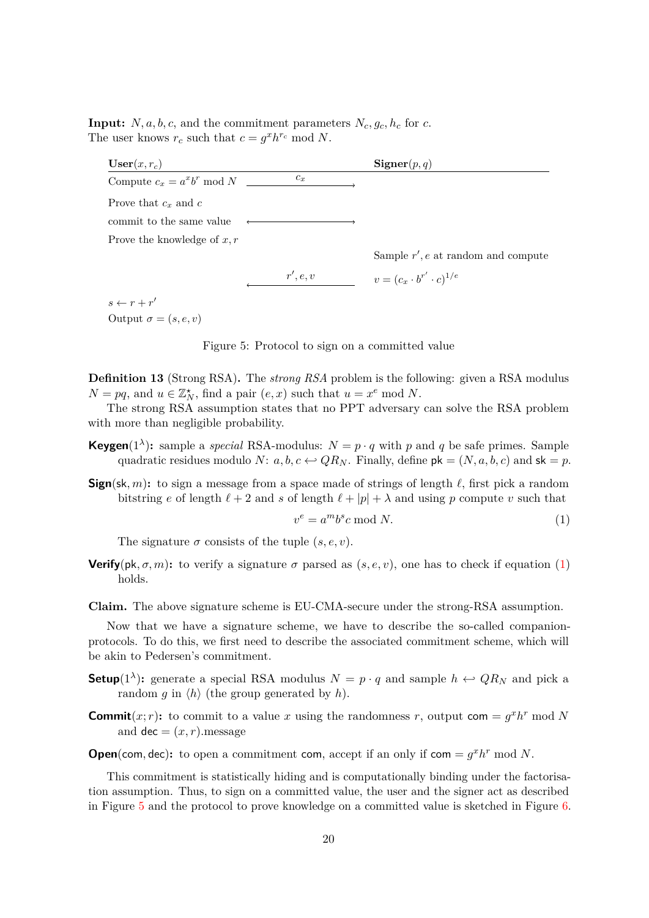**Input:**  $N, a, b, c$ , and the commitment parameters  $N_c, g_c, h_c$  for *c*. The user knows  $r_c$  such that  $c = g^x h^{r_c} \text{ mod } N$ .

| $\textbf{User}(x, r_c)$        |          | $Signer(p,q)$                          |
|--------------------------------|----------|----------------------------------------|
| Compute $c_x = a^x b^r \mod N$ | $c_x$    |                                        |
| Prove that $c_x$ and $c$       |          |                                        |
| commit to the same value       |          |                                        |
| Prove the knowledge of $x, r$  |          |                                        |
|                                |          | Sample $r'$ , e at random and compute  |
|                                | r', e, v | $v = (c_x \cdot b^{r'} \cdot c)^{1/e}$ |
| $s \leftarrow r + r'$          |          |                                        |

Output  $\sigma = (s, e, v)$ 

<span id="page-19-1"></span>Figure 5: Protocol to sign on a committed value

**Definition 13** (Strong RSA). The *strong RSA* problem is the following: given a RSA modulus  $N = pq$ , and  $u \in \mathbb{Z}_N^{\star}$ , find a pair  $(e, x)$  such that  $u = x^e \mod N$ .

The strong RSA assumption states that no PPT adversary can solve the RSA problem with more than negligible probability.

- **Keygen**(1<sup> $\lambda$ </sup>): sample a *special* RSA-modulus:  $N = p \cdot q$  with *p* and *q* be safe primes. Sample quadratic residues modulo *N*:  $a, b, c \leftrightarrow QR_N$ . Finally, define  $pk = (N, a, b, c)$  and  $sk = p$ .
- **Sign**(sk, m): to sign a message from a space made of strings of length  $\ell$ , first pick a random bitstring *e* of length  $\ell + 2$  and *s* of length  $\ell + |p| + \lambda$  and using *p* compute *v* such that

<span id="page-19-0"></span>
$$
v^e = a^m b^s c \bmod N. \tag{1}
$$

The signature  $\sigma$  consists of the tuple  $(s, e, v)$ .

- **Verify**( $pk, \sigma, m$ ): to verify a signature  $\sigma$  parsed as  $(s, e, v)$ , one has to check if equation [\(1\)](#page-19-0) holds.
- **Claim.** The above signature scheme is EU-CMA-secure under the strong-RSA assumption.

Now that we have a signature scheme, we have to describe the so-called companionprotocols. To do this, we first need to describe the associated commitment scheme, which will be akin to Pedersen's commitment.

- **Setup**(1<sup> $\lambda$ </sup>): generate a special RSA modulus  $N = p \cdot q$  and sample  $h \leftrightarrow QR_N$  and pick a random *g* in  $\langle h \rangle$  (the group generated by *h*).
- **Commit** $(x; r)$ **:** to commit to a value *x* using the randomness *r*, output com =  $g^x h^r$  mod *N* and  $\text{dec} = (x, r)$ .message

**Open**(com, dec): to open a commitment com, accept if an only if com =  $g^x h^r$  mod N.

This commitment is statistically hiding and is computationally binding under the factorisation assumption. Thus, to sign on a committed value, the user and the signer act as described in Figure [5](#page-19-1) and the protocol to prove knowledge on a committed value is sketched in Figure [6.](#page-20-2)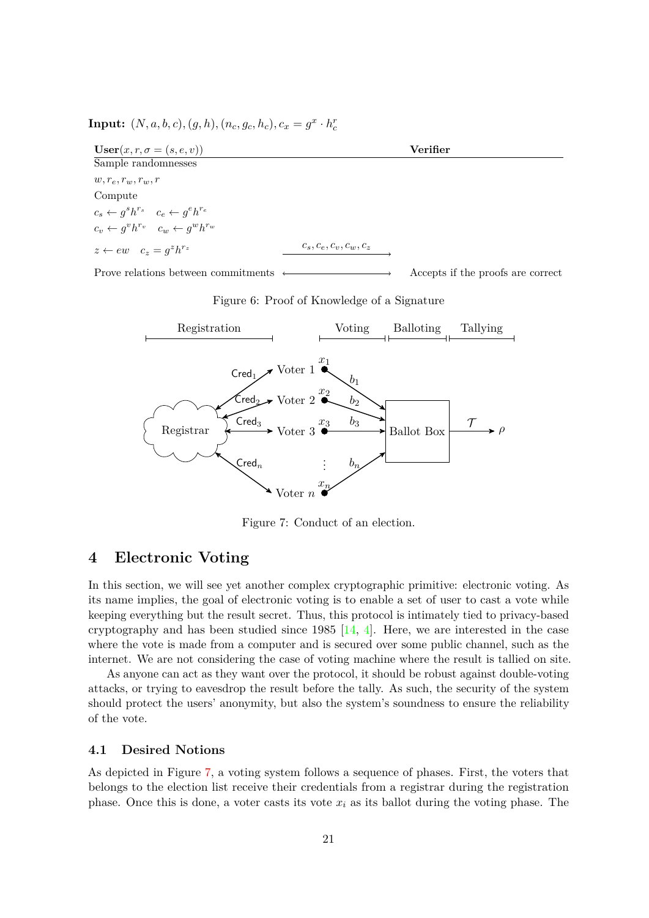| $\mathbf{User}(x, r, \sigma = (s, e, v))$                 | Verifier                  |  |  |
|-----------------------------------------------------------|---------------------------|--|--|
| Sample randomnesses                                       |                           |  |  |
| $w, r_e, r_w, r_w, r$                                     |                           |  |  |
| Compute                                                   |                           |  |  |
| $c_s \leftarrow g^s h^{r_s}$ $c_e \leftarrow g^e h^{r_e}$ |                           |  |  |
| $c_v \leftarrow g^v h^{r_v}$ $c_w \leftarrow g^w h^{r_w}$ |                           |  |  |
| $z \leftarrow ew \quad c_z = q^z h^{r_z}$                 | $c_s, c_e, c_v, c_w, c_z$ |  |  |

**Input:**  $(N, a, b, c), (g, h), (n_c, g_c, h_c), c_x = g^x \cdot h^r_c$ 

Prove relations between commitments  $\longleftrightarrow$  Accepts if the proofs are correct

<span id="page-20-2"></span>



<span id="page-20-3"></span>Figure 7: Conduct of an election.

## <span id="page-20-0"></span>**4 Electronic Voting**

In this section, we will see yet another complex cryptographic primitive: electronic voting. As its name implies, the goal of electronic voting is to enable a set of user to cast a vote while keeping everything but the result secret. Thus, this protocol is intimately tied to privacy-based cryptography and has been studied since 1985  $[14, 4]$  $[14, 4]$ . Here, we are interested in the case where the vote is made from a computer and is secured over some public channel, such as the internet. We are not considering the case of voting machine where the result is tallied on site.

As anyone can act as they want over the protocol, it should be robust against double-voting attacks, or trying to eavesdrop the result before the tally. As such, the security of the system should protect the users' anonymity, but also the system's soundness to ensure the reliability of the vote.

### <span id="page-20-1"></span>**4.1 Desired Notions**

As depicted in Figure [7,](#page-20-3) a voting system follows a sequence of phases. First, the voters that belongs to the election list receive their credentials from a registrar during the registration phase. Once this is done, a voter casts its vote  $x_i$  as its ballot during the voting phase. The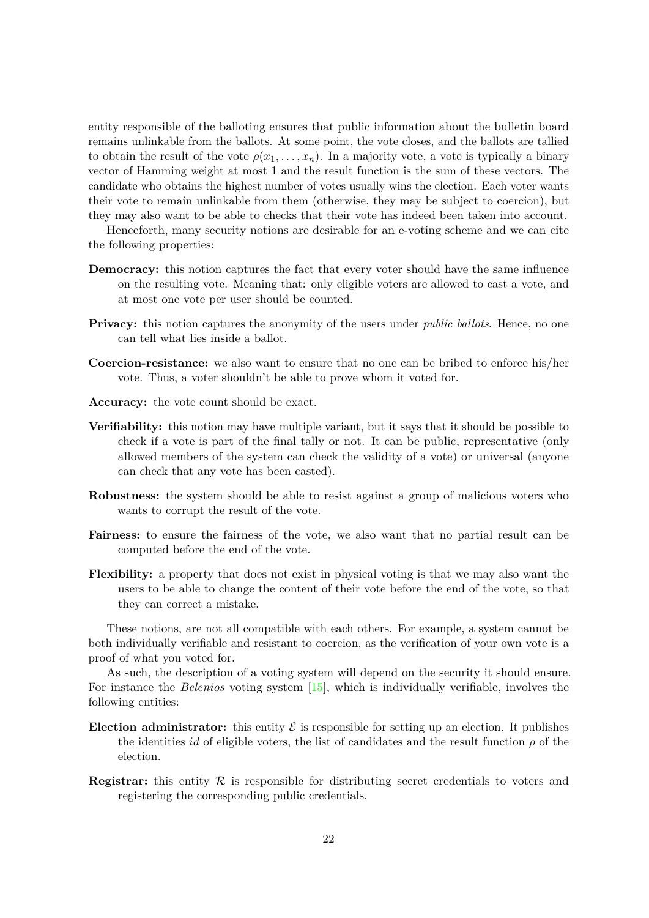entity responsible of the balloting ensures that public information about the bulletin board remains unlinkable from the ballots. At some point, the vote closes, and the ballots are tallied to obtain the result of the vote  $\rho(x_1, \ldots, x_n)$ . In a majority vote, a vote is typically a binary vector of Hamming weight at most 1 and the result function is the sum of these vectors. The candidate who obtains the highest number of votes usually wins the election. Each voter wants their vote to remain unlinkable from them (otherwise, they may be subject to coercion), but they may also want to be able to checks that their vote has indeed been taken into account.

Henceforth, many security notions are desirable for an e-voting scheme and we can cite the following properties:

- **Democracy:** this notion captures the fact that every voter should have the same influence on the resulting vote. Meaning that: only eligible voters are allowed to cast a vote, and at most one vote per user should be counted.
- **Privacy:** this notion captures the anonymity of the users under *public ballots*. Hence, no one can tell what lies inside a ballot.
- **Coercion-resistance:** we also want to ensure that no one can be bribed to enforce his/her vote. Thus, a voter shouldn't be able to prove whom it voted for.
- Accuracy: the vote count should be exact.
- **Verifiability:** this notion may have multiple variant, but it says that it should be possible to check if a vote is part of the final tally or not. It can be public, representative (only allowed members of the system can check the validity of a vote) or universal (anyone can check that any vote has been casted).
- **Robustness:** the system should be able to resist against a group of malicious voters who wants to corrupt the result of the vote.
- **Fairness:** to ensure the fairness of the vote, we also want that no partial result can be computed before the end of the vote.
- **Flexibility:** a property that does not exist in physical voting is that we may also want the users to be able to change the content of their vote before the end of the vote, so that they can correct a mistake.

These notions, are not all compatible with each others. For example, a system cannot be both individually verifiable and resistant to coercion, as the verification of your own vote is a proof of what you voted for.

As such, the description of a voting system will depend on the security it should ensure. For instance the *Belenios* voting system  $[15]$ , which is individually verifiable, involves the following entities:

- **Election administrator:** this entity  $\mathcal{E}$  is responsible for setting up an election. It publishes the identities *id* of eligible voters, the list of candidates and the result function  $\rho$  of the election.
- **Registrar:** this entity  $\mathcal{R}$  is responsible for distributing secret credentials to voters and registering the corresponding public credentials.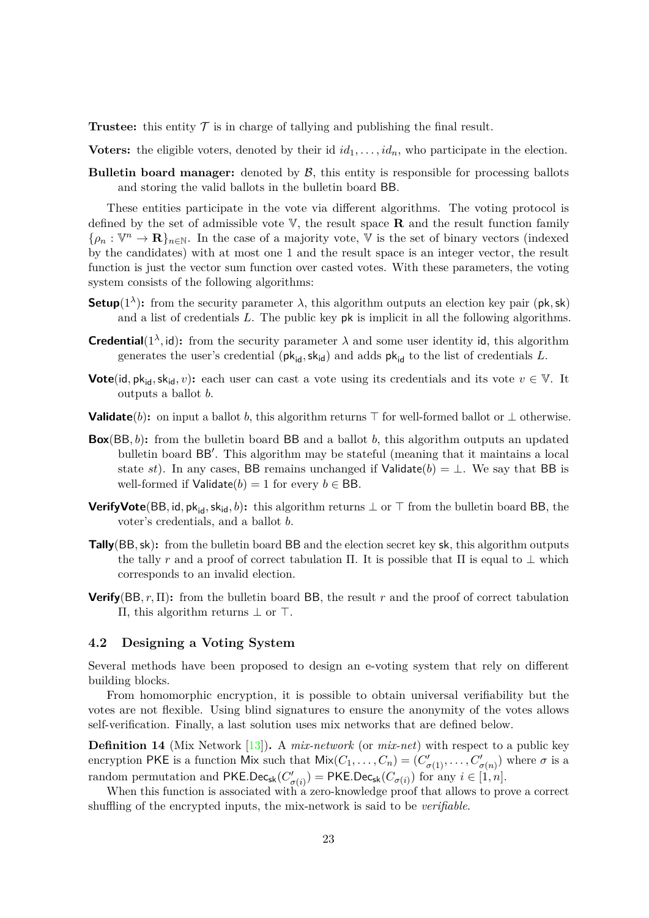**Trustee:** this entity  $\mathcal T$  is in charge of tallying and publishing the final result.

**Voters:** the eligible voters, denoted by their id  $id_1, \ldots, id_n$ , who participate in the election.

**Bulletin board manager:** denoted by  $\beta$ , this entity is responsible for processing ballots and storing the valid ballots in the bulletin board BB.

These entities participate in the vote via different algorithms. The voting protocol is defined by the set of admissible vote  $V$ , the result space **R** and the result function family  $\{\rho_n : \mathbb{V}^n \to \mathbf{R}\}_{n \in \mathbb{N}}$ . In the case of a majority vote,  $\mathbb V$  is the set of binary vectors (indexed by the candidates) with at most one 1 and the result space is an integer vector, the result function is just the vector sum function over casted votes. With these parameters, the voting system consists of the following algorithms:

- **Setup**( $1^{\lambda}$ ): from the security parameter  $\lambda$ , this algorithm outputs an election key pair ( $pk, sk$ ) and a list of credentials *L*. The public key pk is implicit in all the following algorithms.
- **Credential**( $1^{\lambda}$ , id): from the security parameter  $\lambda$  and some user identity id, this algorithm generates the user's credential  $(\mathsf{pk}_{\mathsf{id}}, \mathsf{sk}_{\mathsf{id}})$  and adds  $\mathsf{pk}_{\mathsf{id}}$  to the list of credentials *L*.
- **Vote**(id,  $pk_{id}$ ,  $sk_{id}$ , *v*): each user can cast a vote using its credentials and its vote  $v \in V$ . It outputs a ballot *b*.
- **Validate**(*b*): on input a ballot *b*, this algorithm returns ⊤ for well-formed ballot or ⊥ otherwise.
- **Box**(BB*, b*)**:** from the bulletin board BB and a ballot *b*, this algorithm outputs an updated bulletin board BB′ . This algorithm may be stateful (meaning that it maintains a local state *st*). In any cases, BB remains unchanged if Validate( $b$ ) =  $\perp$ . We say that BB is well-formed if  $Valiate(b) = 1$  for every  $b \in BB$ .
- **VerifyVote**(BB, id, pk<sub>id</sub>, sk<sub>id</sub>, b): this algorithm returns  $\perp$  or  $\top$  from the bulletin board BB, the voter's credentials, and a ballot *b*.
- **Tally**(BB*,*sk)**:** from the bulletin board BB and the election secret key sk, this algorithm outputs the tally *r* and a proof of correct tabulation Π. It is possible that Π is equal to  $\perp$  which corresponds to an invalid election.
- **Verify**(BB*, r,* Π)**:** from the bulletin board BB, the result *r* and the proof of correct tabulation Π, this algorithm returns ⊥ or ⊤.

## <span id="page-22-0"></span>**4.2 Designing a Voting System**

Several methods have been proposed to design an e-voting system that rely on different building blocks.

From homomorphic encryption, it is possible to obtain universal verifiability but the votes are not flexible. Using blind signatures to ensure the anonymity of the votes allows self-verification. Finally, a last solution uses mix networks that are defined below.

**Definition 14** (Mix Network [\[13\]](#page-26-14)). A *mix-network* (or *mix-net*) with respect to a public key encryption PKE is a function Mix such that  $Mix(C_1, \ldots, C_n) = (C'_{\sigma(1)}, \ldots, C'_{\sigma(n)})$  where  $\sigma$  is a random permutation and PKE.Dec<sub>sk</sub>( $C_c'$  $\sigma'(\sigma(i)) = \mathsf{PKE}.\mathsf{Dec}_{\mathsf{sk}}(C_{\sigma(i)})$  for any  $i \in [1, n].$ 

When this function is associated with a zero-knowledge proof that allows to prove a correct shuffling of the encrypted inputs, the mix-network is said to be *verifiable*.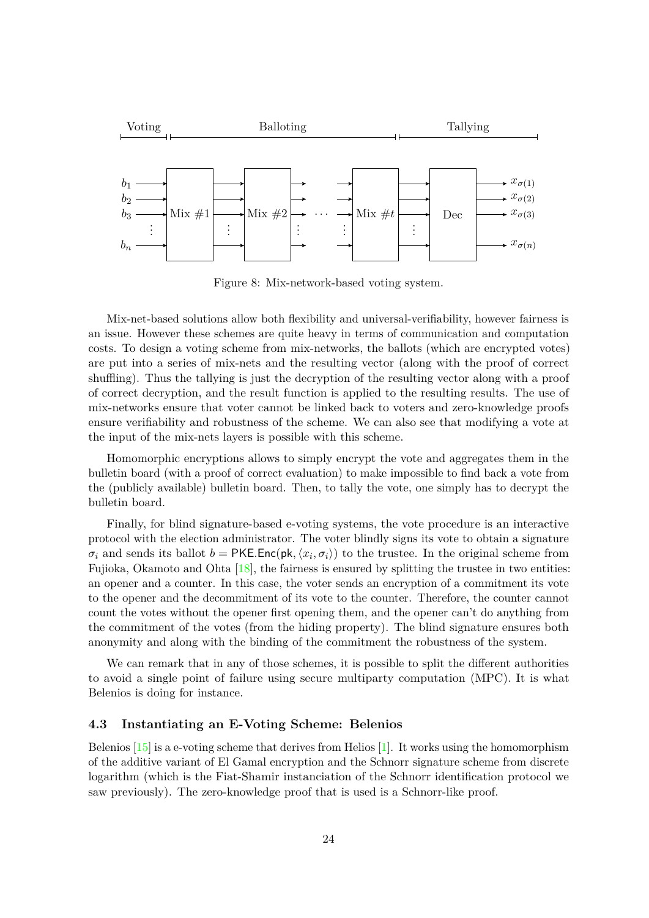

Figure 8: Mix-network-based voting system.

Mix-net-based solutions allow both flexibility and universal-verifiability, however fairness is an issue. However these schemes are quite heavy in terms of communication and computation costs. To design a voting scheme from mix-networks, the ballots (which are encrypted votes) are put into a series of mix-nets and the resulting vector (along with the proof of correct shuffling). Thus the tallying is just the decryption of the resulting vector along with a proof of correct decryption, and the result function is applied to the resulting results. The use of mix-networks ensure that voter cannot be linked back to voters and zero-knowledge proofs ensure verifiability and robustness of the scheme. We can also see that modifying a vote at the input of the mix-nets layers is possible with this scheme.

Homomorphic encryptions allows to simply encrypt the vote and aggregates them in the bulletin board (with a proof of correct evaluation) to make impossible to find back a vote from the (publicly available) bulletin board. Then, to tally the vote, one simply has to decrypt the bulletin board.

Finally, for blind signature-based e-voting systems, the vote procedure is an interactive protocol with the election administrator. The voter blindly signs its vote to obtain a signature  $\sigma_i$  and sends its ballot  $b = PKE$ *.*Enc(pk,  $\langle x_i, \sigma_i \rangle$ ) to the trustee. In the original scheme from Fujioka, Okamoto and Ohta [\[18\]](#page-26-15), the fairness is ensured by splitting the trustee in two entities: an opener and a counter. In this case, the voter sends an encryption of a commitment its vote to the opener and the decommitment of its vote to the counter. Therefore, the counter cannot count the votes without the opener first opening them, and the opener can't do anything from the commitment of the votes (from the hiding property). The blind signature ensures both anonymity and along with the binding of the commitment the robustness of the system.

We can remark that in any of those schemes, it is possible to split the different authorities to avoid a single point of failure using secure multiparty computation (MPC). It is what Belenios is doing for instance.

### <span id="page-23-0"></span>**4.3 Instantiating an E-Voting Scheme: Belenios**

Belenios  $[15]$  is a e-voting scheme that derives from Helios  $[1]$ . It works using the homomorphism of the additive variant of El Gamal encryption and the Schnorr signature scheme from discrete logarithm (which is the Fiat-Shamir instanciation of the Schnorr identification protocol we saw previously). The zero-knowledge proof that is used is a Schnorr-like proof.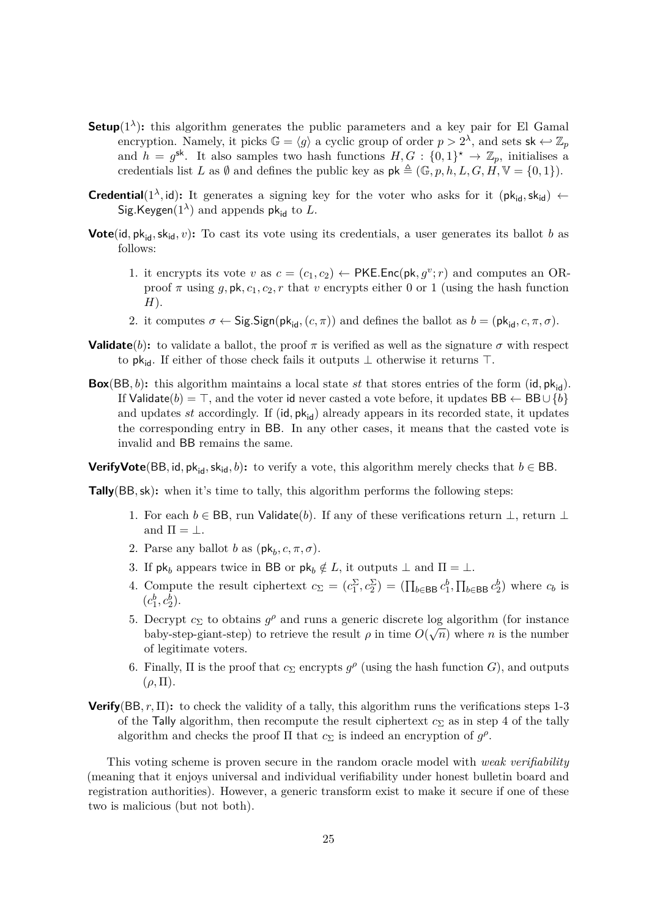- **Setup**( $1^{\lambda}$ ): this algorithm generates the public parameters and a key pair for El Gamal encryption. Namely, it picks  $\mathbb{G} = \langle g \rangle$  a cyclic group of order  $p > 2^{\lambda}$ , and sets  $\mathsf{sk} \leftarrow \mathbb{Z}_p$ and  $h = g^{\text{sk}}$ . It also samples two hash functions  $H, G : \{0,1\}^* \to \mathbb{Z}_p$ , initialises a credentials list *L* as  $\emptyset$  and defines the public key as  $\mathsf{pk} \triangleq (\mathbb{G}, p, h, L, G, H, \mathbb{V} = \{0, 1\}).$
- **Credential**( $1^{\lambda}$ , id): It generates a signing key for the voter who asks for it ( $pk_{id}$ ,  $sk_{id}$ ) ←  $Sig.Keygen(1<sup>\lambda</sup>)$  and appends  $pk_{id}$  to *L*.
- **Vote**(id,  $pk_{id}$ ,  $sk_{id}$ , *v*): To cast its vote using its credentials, a user generates its ballot *b* as follows:
	- 1. it encrypts its vote *v* as  $c = (c_1, c_2) \leftarrow \textsf{PKE}.\textsf{Enc}(\textsf{pk}, g^v; r)$  and computes an ORproof  $\pi$  using  $g$ , pk,  $c_1$ ,  $c_2$ ,  $r$  that  $v$  encrypts either 0 or 1 (using the hash function *H*).
	- 2. it computes  $\sigma \leftarrow$  Sig.Sign( $pk_{id}$ ,  $(c, \pi)$ ) and defines the ballot as  $b = (pk_{id}, c, \pi, \sigma)$ .
- **Validate**(*b*): to validate a ballot, the proof  $\pi$  is verified as well as the signature  $\sigma$  with respect to pk<sub>id</sub>. If either of those check fails it outputs  $\perp$  otherwise it returns ⊤.
- **Box**(BB, b): this algorithm maintains a local state *st* that stores entries of the form (id,  $pk_{id}$ ). If Validate(*b*) = ⊤, and the voter id never casted a vote before, it updates BB  $\leftarrow$  BB∪{*b*} and updates *st* accordingly. If (id,  $pk_{id}$ ) already appears in its recorded state, it updates the corresponding entry in BB. In any other cases, it means that the casted vote is invalid and BB remains the same.

**VerifyVote**(BB, id,  $pk_{id}$ ,  $sk_{id}$ , *b*): to verify a vote, this algorithm merely checks that  $b \in BB$ .

**Tally**(BB, sk): when it's time to tally, this algorithm performs the following steps:

- 1. For each  $b \in BB$ , run Validate(*b*). If any of these verifications return  $\perp$ , return  $\perp$ and  $\Pi = \bot$ .
- 2. Parse any ballot *b* as  $(\mathsf{pk}_b, c, \pi, \sigma)$ .
- 3. If  $pk_b$  appears twice in BB or  $pk_b \notin L$ , it outputs  $\perp$  and  $\Pi = \perp$ .
- 4. Compute the result ciphertext  $c_{\Sigma} = (c_1^{\Sigma}, c_2^{\Sigma}) = (\prod_{b \in \text{BB}} c_1^b, \prod_{b \in \text{BB}} c_2^b)$  where  $c_b$  is  $(c_1^b, c_2^b)$ .
- 5. Decrypt  $c_{\Sigma}$  to obtains  $g^{\rho}$  and runs a generic discrete log algorithm (for instance baby-step-giant-step) to retrieve the result  $\rho$  in time  $O(\sqrt{n})$  where *n* is the number of legitimate voters.
- 6. Finally,  $\Pi$  is the proof that  $c_{\Sigma}$  encrypts  $g^{\rho}$  (using the hash function *G*), and outputs  $(\rho, \Pi).$
- **Verify**(BB, r,  $\Pi$ ): to check the validity of a tally, this algorithm runs the verifications steps 1-3 of the Tally algorithm, then recompute the result ciphertext  $c_{\Sigma}$  as in step 4 of the tally algorithm and checks the proof  $\Pi$  that  $c_{\Sigma}$  is indeed an encryption of  $g^{\rho}$ .

This voting scheme is proven secure in the random oracle model with *weak verifiability* (meaning that it enjoys universal and individual verifiability under honest bulletin board and registration authorities). However, a generic transform exist to make it secure if one of these two is malicious (but not both).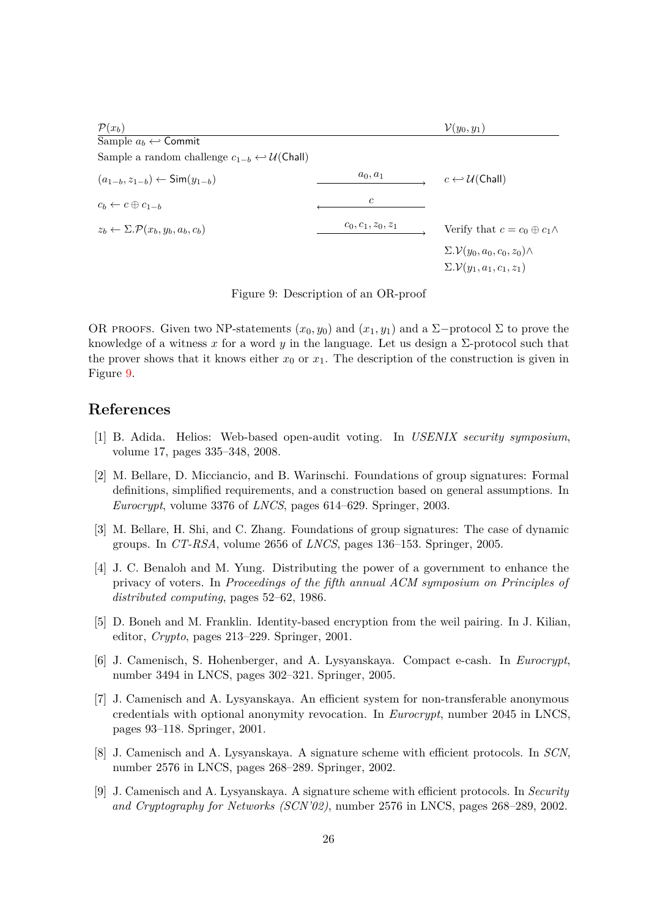| $\mathcal{P}(x_b)$                                                            |                      | $\mathcal{V}(y_0, y_1)$                                                              |
|-------------------------------------------------------------------------------|----------------------|--------------------------------------------------------------------------------------|
| Sample $a_b \leftarrow$ Commit                                                |                      |                                                                                      |
| Sample a random challenge $c_{1-b} \leftrightarrow \mathcal{U}(\text{Chall})$ |                      |                                                                                      |
| $(a_{1-b}, z_{1-b}) \leftarrow \text{Sim}(y_{1-b})$                           | $a_0, a_1$           | $c \leftarrow \mathcal{U}(\mathsf{Chall})$                                           |
| $c_b \leftarrow c \oplus c_{1-b}$                                             | $\mathfrak{c}$       |                                                                                      |
| $z_b \leftarrow \Sigma \cdot \mathcal{P}(x_b, y_b, a_b, c_b)$                 | $c_0, c_1, z_0, z_1$ | Verify that $c = c_0 \oplus c_1 \wedge$                                              |
|                                                                               |                      | $\Sigma.\mathcal{V}(y_0,a_0,c_0,z_0)\wedge$<br>$\Sigma.\mathcal{V}(y_1,a_1,c_1,z_1)$ |

<span id="page-25-9"></span>Figure 9: Description of an OR-proof

OR PROOFS. Given two NP-statements  $(x_0, y_0)$  and  $(x_1, y_1)$  and a  $\Sigma$ -protocol  $\Sigma$  to prove the knowledge of a witness x for a word y in the language. Let us design a  $\Sigma$ -protocol such that the prover shows that it knows either  $x_0$  or  $x_1$ . The description of the construction is given in Figure [9.](#page-25-9)

## **References**

- <span id="page-25-8"></span>[1] B. Adida. Helios: Web-based open-audit voting. In *USENIX security symposium*, volume 17, pages 335–348, 2008.
- <span id="page-25-1"></span>[2] M. Bellare, D. Micciancio, and B. Warinschi. Foundations of group signatures: Formal definitions, simplified requirements, and a construction based on general assumptions. In *Eurocrypt*, volume 3376 of *LNCS*, pages 614–629. Springer, 2003.
- <span id="page-25-2"></span>[3] M. Bellare, H. Shi, and C. Zhang. Foundations of group signatures: The case of dynamic groups. In *CT-RSA*, volume 2656 of *LNCS*, pages 136–153. Springer, 2005.
- <span id="page-25-7"></span>[4] J. C. Benaloh and M. Yung. Distributing the power of a government to enhance the privacy of voters. In *Proceedings of the fifth annual ACM symposium on Principles of distributed computing*, pages 52–62, 1986.
- <span id="page-25-4"></span>[5] D. Boneh and M. Franklin. Identity-based encryption from the weil pairing. In J. Kilian, editor,  $Crypto$ , pages  $213-229$ . Springer, 2001.
- <span id="page-25-5"></span>[6] J. Camenisch, S. Hohenberger, and A. Lysyanskaya. Compact e-cash. In *Eurocrypt*, number 3494 in LNCS, pages  $302-321$ . Springer, 2005.
- <span id="page-25-0"></span>[7] J. Camenisch and A. Lysyanskaya. An efficient system for non-transferable anonymous credentials with optional anonymity revocation. In *Eurocrypt*, number 2045 in LNCS, pages 93–118. Springer, 2001.
- <span id="page-25-3"></span>[8] J. Camenisch and A. Lysyanskaya. A signature scheme with efficient protocols. In *SCN*, number 2576 in LNCS, pages  $268-289$ . Springer, 2002.
- <span id="page-25-6"></span>[9] J. Camenisch and A. Lysyanskaya. A signature scheme with efficient protocols. In *Security and Cryptography for Networks (SCN'02)*, number 2576 in LNCS, pages 268–289, 2002.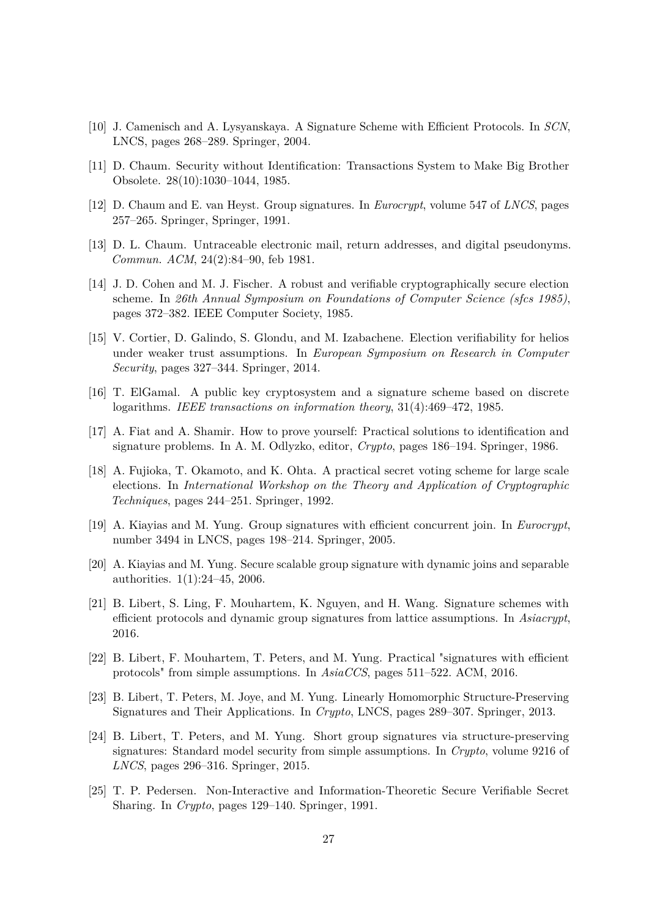- <span id="page-26-11"></span>[10] J. Camenisch and A. Lysyanskaya. A Signature Scheme with Efficient Protocols. In *SCN*, LNCS, pages 268–289. Springer, 2004.
- <span id="page-26-0"></span>[11] D. Chaum. Security without Identification: Transactions System to Make Big Brother Obsolete. 28(10):1030-1044, 1985.
- <span id="page-26-1"></span>[12] D. Chaum and E. van Heyst. Group signatures. In *Eurocrypt*, volume 547 of *LNCS*, pages 257–265. Springer, Springer, 1991.
- <span id="page-26-14"></span>[13] D. L. Chaum. Untraceable electronic mail, return addresses, and digital pseudonyms. *Commun. ACM*, 24(2):84–90, feb 1981.
- <span id="page-26-12"></span>[14] J. D. Cohen and M. J. Fischer. A robust and verifiable cryptographically secure election scheme. In *26th Annual Symposium on Foundations of Computer Science (sfcs 1985)*, pages 372–382. IEEE Computer Society, 1985.
- <span id="page-26-13"></span>[15] V. Cortier, D. Galindo, S. Glondu, and M. Izabachene. Election verifiability for helios under weaker trust assumptions. In *European Symposium on Research in Computer Security*, pages 327–344. Springer, 2014.
- <span id="page-26-4"></span>[16] T. ElGamal. A public key cryptosystem and a signature scheme based on discrete logarithms. *IEEE transactions on information theory*, 31(4):469–472, 1985.
- <span id="page-26-3"></span>[17] A. Fiat and A. Shamir. How to prove yourself: Practical solutions to identification and signature problems. In A. M. Odlyzko, editor, *Crypto*, pages 186–194. Springer, 1986.
- <span id="page-26-15"></span>[18] A. Fujioka, T. Okamoto, and K. Ohta. A practical secret voting scheme for large scale elections. In *International Workshop on the Theory and Application of Cryptographic Techniques*, pages 244–251. Springer, 1992.
- <span id="page-26-2"></span>[19] A. Kiayias and M. Yung. Group signatures with efficient concurrent join. In *Eurocrypt*, number 3494 in LNCS, pages  $198-214$ . Springer, 2005.
- <span id="page-26-10"></span>[20] A. Kiayias and M. Yung. Secure scalable group signature with dynamic joins and separable authorities.  $1(1):24-45$ , 2006.
- <span id="page-26-8"></span>[21] B. Libert, S. Ling, F. Mouhartem, K. Nguyen, and H. Wang. Signature schemes with efficient protocols and dynamic group signatures from lattice assumptions. In *Asiacrypt*, 2016.
- <span id="page-26-7"></span>[22] B. Libert, F. Mouhartem, T. Peters, and M. Yung. Practical "signatures with efficient protocols" from simple assumptions. In *AsiaCCS*, pages 511–522. ACM, 2016.
- <span id="page-26-5"></span>[23] B. Libert, T. Peters, M. Joye, and M. Yung. Linearly Homomorphic Structure-Preserving Signatures and Their Applications. In *Crypto*, LNCS, pages 289–307. Springer, 2013.
- <span id="page-26-6"></span>[24] B. Libert, T. Peters, and M. Yung. Short group signatures via structure-preserving signatures: Standard model security from simple assumptions. In *Crypto*, volume 9216 of *LNCS*, pages 296–316. Springer, 2015.
- <span id="page-26-9"></span>[25] T. P. Pedersen. Non-Interactive and Information-Theoretic Secure Verifiable Secret Sharing. In *Crypto*, pages 129–140. Springer, 1991.